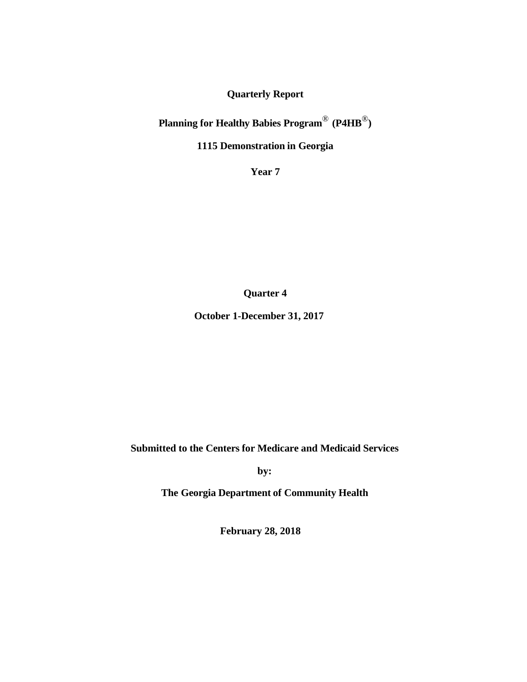**Quarterly Report**

**Planning for Healthy Babies Program**® **(P4HB**®**)**

**1115 Demonstration in Georgia**

**Year 7**

**Quarter 4**

**October 1-December 31, 2017**

**Submitted to the Centers for Medicare and Medicaid Services**

**by:**

**The Georgia Department of Community Health**

**February 28, 2018**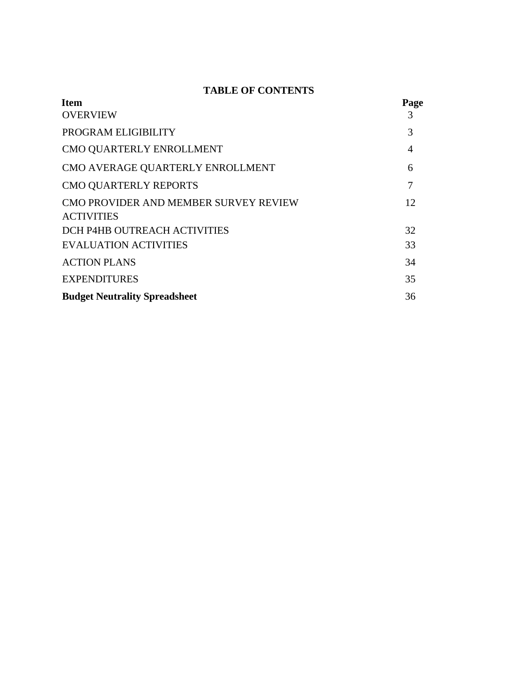# **TABLE OF CONTENTS**

| <b>Item</b>                           | Page |
|---------------------------------------|------|
| <b>OVERVIEW</b>                       | 3    |
| PROGRAM ELIGIBILITY                   | 3    |
| CMO QUARTERLY ENROLLMENT              | 4    |
| CMO AVERAGE QUARTERLY ENROLLMENT      | 6    |
| CMO QUARTERLY REPORTS                 |      |
| CMO PROVIDER AND MEMBER SURVEY REVIEW | 12   |
| <b>ACTIVITIES</b>                     |      |
| DCH P4HB OUTREACH ACTIVITIES          | 32   |
| <b>EVALUATION ACTIVITIES</b>          | 33   |
| <b>ACTION PLANS</b>                   | 34   |
| <b>EXPENDITURES</b>                   | 35   |
| <b>Budget Neutrality Spreadsheet</b>  | 36   |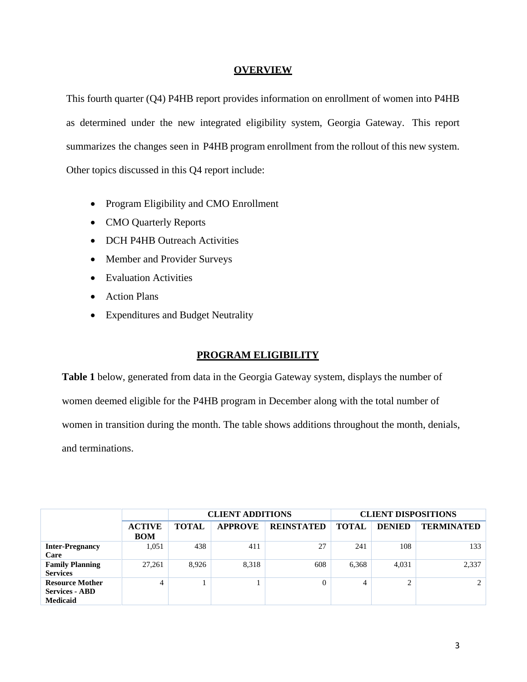### **OVERVIEW**

This fourth quarter (Q4) P4HB report provides information on enrollment of women into P4HB as determined under the new integrated eligibility system, Georgia Gateway. This report summarizes the changes seen in P4HB program enrollment from the rollout of this new system. Other topics discussed in this Q4 report include:

- Program Eligibility and CMO Enrollment
- CMO Quarterly Reports
- DCH P4HB Outreach Activities
- Member and Provider Surveys
- Evaluation Activities
- Action Plans
- Expenditures and Budget Neutrality

## **PROGRAM ELIGIBILITY**

**Table 1** below, generated from data in the Georgia Gateway system, displays the number of women deemed eligible for the P4HB program in December along with the total number of women in transition during the month. The table shows additions throughout the month, denials, and terminations.

|                                                                    |                             |              | <b>CLIENT ADDITIONS</b> |                   |              | <b>CLIENT DISPOSITIONS</b> |                   |
|--------------------------------------------------------------------|-----------------------------|--------------|-------------------------|-------------------|--------------|----------------------------|-------------------|
|                                                                    | <b>ACTIVE</b><br><b>BOM</b> | <b>TOTAL</b> | <b>APPROVE</b>          | <b>REINSTATED</b> | <b>TOTAL</b> | <b>DENIED</b>              | <b>TERMINATED</b> |
| <b>Inter-Pregnancy</b><br>Care                                     | 1,051                       | 438          | 411                     | 27                | 241          | 108                        | 133               |
| <b>Family Planning</b><br><b>Services</b>                          | 27,261                      | 8.926        | 8,318                   | 608               | 6,368        | 4.031                      | 2,337             |
| <b>Resource Mother</b><br><b>Services - ABD</b><br><b>Medicaid</b> | 4                           |              |                         |                   | 4            | $\mathcal{L}$<br>∠         | 2                 |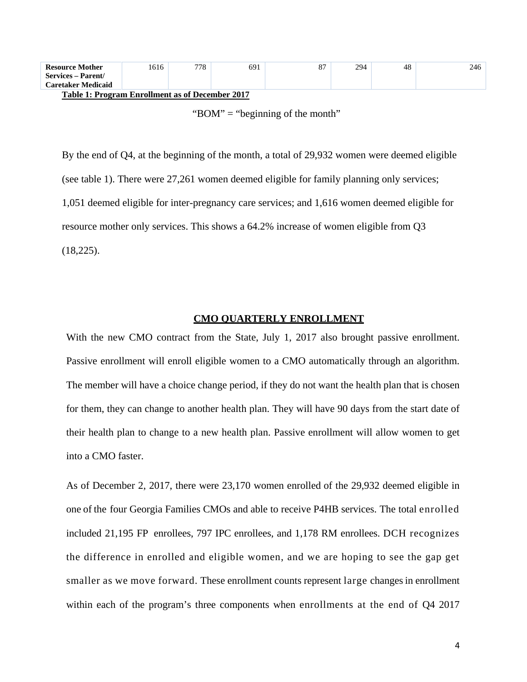| <b>Resource Mother</b> | 616 | 770<br>70 | 691 | o. | 294 | 48 | 246 |
|------------------------|-----|-----------|-----|----|-----|----|-----|
| Services - Parent/     |     |           |     |    |     |    |     |
| Caretaker Medicaid     |     |           |     |    |     |    |     |

**Table 1: Program Enrollment as of December 2017**

By the end of Q4, at the beginning of the month, a total of 29,932 women were deemed eligible (see table 1). There were 27,261 women deemed eligible for family planning only services; 1,051 deemed eligible for inter-pregnancy care services; and 1,616 women deemed eligible for resource mother only services. This shows a 64.2% increase of women eligible from Q3 (18,225).

#### **CMO QUARTERLY ENROLLMENT**

With the new CMO contract from the State, July 1, 2017 also brought passive enrollment. Passive enrollment will enroll eligible women to a CMO automatically through an algorithm. The member will have a choice change period, if they do not want the health plan that is chosen for them, they can change to another health plan. They will have 90 days from the start date of their health plan to change to a new health plan. Passive enrollment will allow women to get into a CMO faster.

As of December 2, 2017, there were 23,170 women enrolled of the 29,932 deemed eligible in one of the four Georgia Families CMOs and able to receive P4HB services. The total enrolled included 21,195 FP enrollees, 797 IPC enrollees, and 1,178 RM enrollees. DCH recognizes the difference in enrolled and eligible women, and we are hoping to see the gap get smaller as we move forward. These enrollment counts represent large changes in enrollment within each of the program's three components when enrollments at the end of Q4 2017

<sup>&</sup>quot;BOM" = "beginning of the month"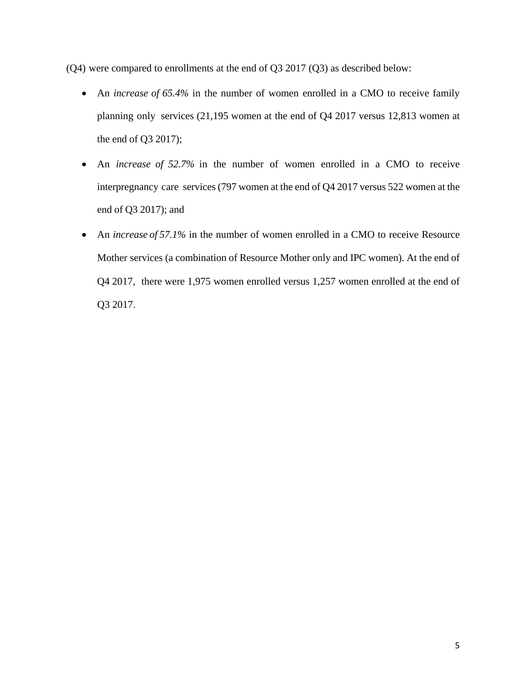(Q4) were compared to enrollments at the end of Q3 2017 (Q3) as described below:

- An *increase of 65.4%* in the number of women enrolled in a CMO to receive family planning only services (21,195 women at the end of Q4 2017 versus 12,813 women at the end of Q3 2017);
- An *increase of 52.7%* in the number of women enrolled in a CMO to receive interpregnancy care services (797 women at the end of Q4 2017 versus 522 women at the end of Q3 2017); and
- An *increase of 57.1%* in the number of women enrolled in a CMO to receive Resource Mother services (a combination of Resource Mother only and IPC women). At the end of Q4 2017, there were 1,975 women enrolled versus 1,257 women enrolled at the end of Q3 2017.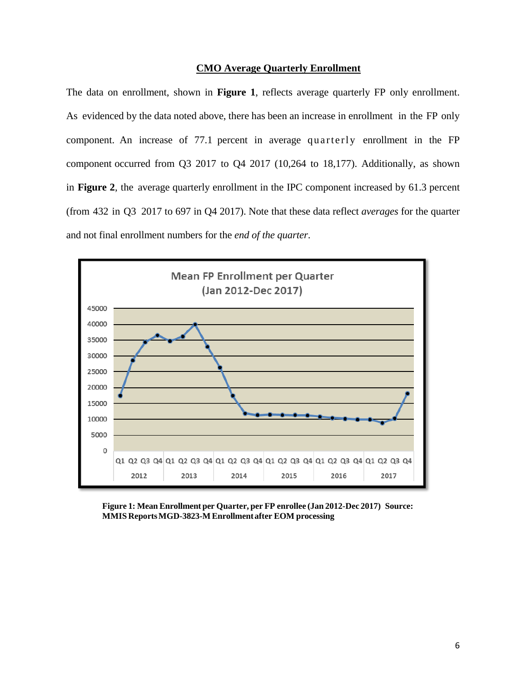#### **CMO Average Quarterly Enrollment**

The data on enrollment, shown in **Figure 1**, reflects average quarterly FP only enrollment. As evidenced by the data noted above, there has been an increase in enrollment in the FP only component. An increase of 77.1 percent in average quarterly enrollment in the FP component occurred from Q3 2017 to Q4 2017 (10,264 to 18,177). Additionally, as shown in **Figure 2**, the average quarterly enrollment in the IPC component increased by 61.3 percent (from 432 in Q3 2017 to 697 in Q4 2017). Note that these data reflect *averages* for the quarter and not final enrollment numbers for the *end of the quarter*.



**Figure 1: Mean Enrollment per Quarter, per FP enrollee (Jan 2012-Dec 2017) Source: MMIS ReportsMGD-3823-M Enrollmentafter EOM processing**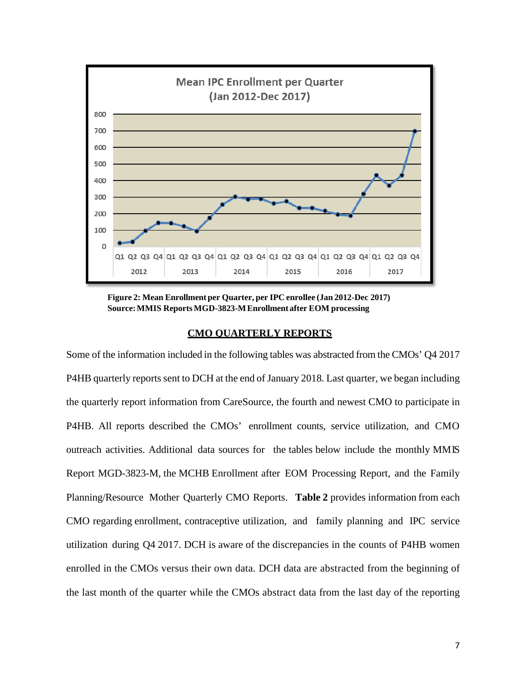

**Figure 2: Mean Enrollment per Quarter, per IPC enrollee (Jan 2012-Dec 2017) Source:MMIS ReportsMGD-3823-MEnrollment after EOM processing**

### **CMO QUARTERLY REPORTS**

Some of the information included in the following tables was abstracted from the CMOs' Q4 2017 P4HB quarterly reports sent to DCH at the end of January 2018. Last quarter, we began including the quarterly report information from CareSource, the fourth and newest CMO to participate in P4HB. All reports described the CMOs' enrollment counts, service utilization, and CMO outreach activities. Additional data sources for the tables below include the monthly MMIS Report MGD-3823-M, the MCHB Enrollment after EOM Processing Report, and the Family Planning/Resource Mother Quarterly CMO Reports. **Table 2** provides information from each CMO regarding enrollment, contraceptive utilization, and family planning and IPC service utilization during Q4 2017. DCH is aware of the discrepancies in the counts of P4HB women enrolled in the CMOs versus their own data. DCH data are abstracted from the beginning of the last month of the quarter while the CMOs abstract data from the last day of the reporting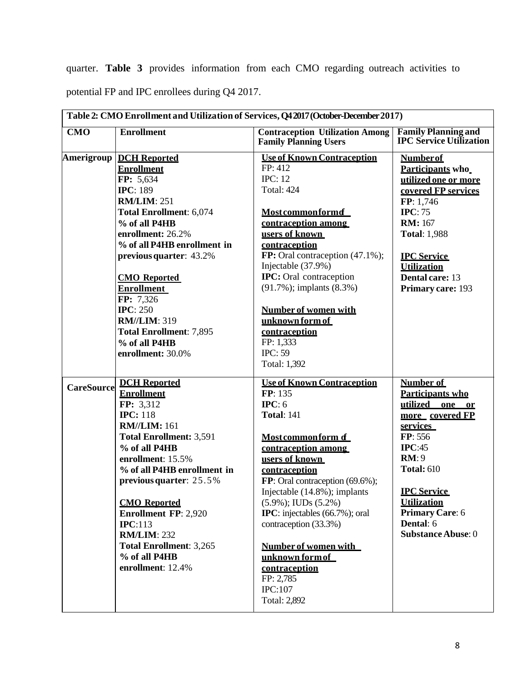quarter. **Table 3** provides information from each CMO regarding outreach activities to potential FP and IPC enrollees during Q4 2017.

|                   |                                                                                                                                                                                                                                                                                                                                                                                                                          | Table 2: CMO Enrollment and Utilization of Services, Q4 2017 (October-December 2017)                                                                                                                                                                                                                                                                                                                                                       |                                                                                                                                                                                                                                                   |
|-------------------|--------------------------------------------------------------------------------------------------------------------------------------------------------------------------------------------------------------------------------------------------------------------------------------------------------------------------------------------------------------------------------------------------------------------------|--------------------------------------------------------------------------------------------------------------------------------------------------------------------------------------------------------------------------------------------------------------------------------------------------------------------------------------------------------------------------------------------------------------------------------------------|---------------------------------------------------------------------------------------------------------------------------------------------------------------------------------------------------------------------------------------------------|
| CMO               | <b>Enrollment</b>                                                                                                                                                                                                                                                                                                                                                                                                        | <b>Contraception Utilization Among</b><br><b>Family Planning Users</b>                                                                                                                                                                                                                                                                                                                                                                     | <b>Family Planning and</b><br><b>IPC Service Utilization</b>                                                                                                                                                                                      |
|                   | <b>Amerigroup   DCH Reported</b><br><b>Enrollment</b><br>FP: 5,634<br><b>IPC: 189</b><br><b>RM/LIM: 251</b><br><b>Total Enrollment: 6,074</b><br>% of all P4HB<br>enrollment: 26.2%<br>% of all P4HB enrollment in<br>previous quarter: 43.2%<br><b>CMO</b> Reported<br><b>Enrollment</b><br>FP: 7,326<br><b>IPC: 250</b><br><b>RM//LIM: 319</b><br><b>Total Enrollment: 7,895</b><br>% of all P4HB<br>enrollment: 30.0% | <b>Use of Known Contraception</b><br>FP: 412<br><b>IPC: 12</b><br><b>Total: 424</b><br><b>Most commonformd</b><br>contraception among<br>users of known<br>contraception<br>FP: Oral contraception (47.1%);<br>Injectable (37.9%)<br><b>IPC:</b> Oral contraception<br>$(91.7\%)$ ; implants $(8.3\%)$<br><b>Number of women with</b><br>unknown form of<br>contraception<br>FP: 1,333<br><b>IPC: 59</b><br>Total: 1,392                   | <b>Number of</b><br>Participants who<br>utilized one or more<br>covered FP services<br>FP: 1,746<br>IPC: 75<br><b>RM</b> : 167<br><b>Total: 1,988</b><br><b>IPC</b> Service<br><b>Utilization</b><br>Dental care: 13<br>Primary care: 193         |
| <b>CareSource</b> | <b>DCH Reported</b><br><b>Enrollment</b><br>FP: 3,312<br><b>IPC:</b> 118<br><b>RM//LIM: 161</b><br><b>Total Enrollment: 3,591</b><br>% of all P4HB<br>enrollment: 15.5%<br>% of all P4HB enrollment in<br>previous quarter: 25.5%<br><b>CMO</b> Reported<br><b>Enrollment FP: 2,920</b><br>IPC:113<br><b>RM/LIM: 232</b><br><b>Total Enrollment: 3,265</b><br>% of all P4HB<br>enrollment: 12.4%                         | <b>Use of Known Contraception</b><br>FP: 135<br>IPC: 6<br><b>Total: 141</b><br>Most commonform of<br>contraception among<br>users of known<br>contraception<br>FP: Oral contraception (69.6%);<br>Injectable (14.8%); implants<br>$(5.9\%)$ ; IUDs $(5.2\%)$<br><b>IPC</b> : injectables (66.7%); oral<br>contraception (33.3%)<br><b>Number of women with</b><br>unknown form of<br>contraception<br>FP: 2,785<br>IPC:107<br>Total: 2,892 | Number of<br>Participants who<br>utilized one or<br>more covered FP<br>services<br>FP: 556<br>IPC:45<br>RM:9<br><b>Total: 610</b><br><b>IPC</b> Service<br><b>Utilization</b><br><b>Primary Care: 6</b><br>Dental: 6<br><b>Substance Abuse: 0</b> |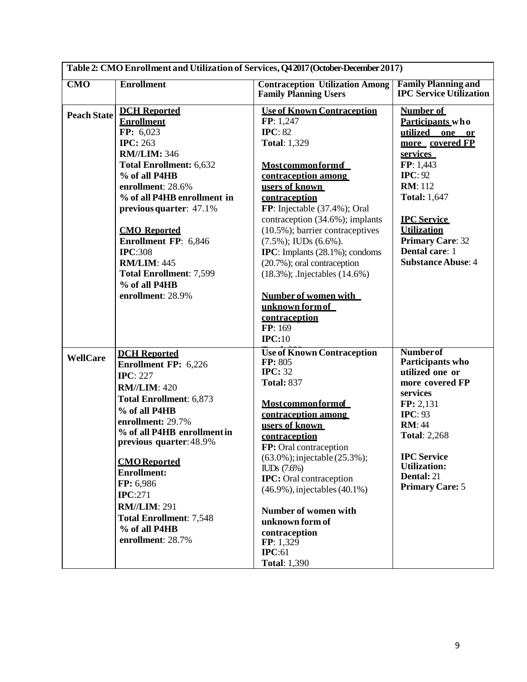| Table 2: CMO Enrollment and Utilization of Services, Q42017 (October-December 2017) |                                                                                                                                                                                                                                                                                                                                                                                                     |                                                                                                                                                                                                                                                                                                                                                                                                                                                                                                     |                                                                                                                                                                                                                                                                                |  |  |  |
|-------------------------------------------------------------------------------------|-----------------------------------------------------------------------------------------------------------------------------------------------------------------------------------------------------------------------------------------------------------------------------------------------------------------------------------------------------------------------------------------------------|-----------------------------------------------------------------------------------------------------------------------------------------------------------------------------------------------------------------------------------------------------------------------------------------------------------------------------------------------------------------------------------------------------------------------------------------------------------------------------------------------------|--------------------------------------------------------------------------------------------------------------------------------------------------------------------------------------------------------------------------------------------------------------------------------|--|--|--|
| CMO                                                                                 | <b>Enrollment</b>                                                                                                                                                                                                                                                                                                                                                                                   | <b>Contraception Utilization Among</b><br><b>Family Planning Users</b>                                                                                                                                                                                                                                                                                                                                                                                                                              | <b>Family Planning and</b><br><b>IPC Service Utilization</b>                                                                                                                                                                                                                   |  |  |  |
| <b>Peach State</b>                                                                  | <b>DCH</b> Reported<br><b>Enrollment</b><br>FP: 6,023<br><b>IPC: 263</b><br><b>RM//LIM: 346</b><br><b>Total Enrollment: 6,632</b><br>% of all P4HB<br>enrollment: 28.6%<br>% of all P4HB enrollment in<br>previous quarter: 47.1%<br><b>CMO</b> Reported<br>Enrollment FP: 6,846<br><b>IPC:308</b><br><b>RM/LIM: 445</b><br><b>Total Enrollment: 7,599</b><br>% of all P4HB<br>enrollment: 28.9%    | <b>Use of Known Contraception</b><br>FP: 1,247<br><b>IPC</b> : 82<br><b>Total: 1,329</b><br><b>Most common form of</b><br>contraception among<br>users of known<br>contraception<br>FP: Injectable (37.4%); Oral<br>contraception (34.6%); implants<br>$(10.5\%)$ ; barrier contraceptives<br>$(7.5\%)$ ; IUDs $(6.6\%)$ .<br>IPC: Implants (28.1%); condoms<br>(20.7%); oral contraception<br>(18.3%); .Injectables (14.6%)<br>Number of women with<br>unknown form of<br>contraception<br>FP: 169 | Number of<br>Participants who<br>utilized one or<br>more covered FP<br><b>services</b><br>FP: 1,443<br>IPC: 92<br><b>RM</b> : 112<br><b>Total: 1,647</b><br><b>IPC</b> Service<br><b>Utilization</b><br><b>Primary Care: 32</b><br>Dental care: 1<br><b>Substance Abuse: 4</b> |  |  |  |
| <b>WellCare</b>                                                                     | <b>DCH</b> Reported<br><b>Enrollment FP: 6,226</b><br><b>IPC</b> : 227<br><b>RM//LIM: 420</b><br>Total Enrollment: 6,873<br>% of all P4HB<br>enrollment: 29.7%<br>% of all P4HB enrollment in<br>previous quarter: 48.9%<br><b>CMO</b> Reported<br><b>Enrollment:</b><br>FP: 6,986<br><b>IPC:271</b><br><b>RM//LIM: 291</b><br><b>Total Enrollment: 7,548</b><br>% of all P4HB<br>enrollment: 28.7% | IPC:10<br><b>Use of Known Contraception</b><br>FP: 805<br><b>IPC: 32</b><br><b>Total: 837</b><br><b>Most common form of</b><br>contraception among<br>users of known<br>contraception<br>FP: Oral contraception<br>$(63.0\%)$ ; injectable $(25.3\%)$ ;<br>$\text{ILDs}$ (7.6%)<br><b>IPC:</b> Oral contraception<br>$(46.9\%)$ , injectables $(40.1\%)$<br>Number of women with<br>unknown form of<br>contraception<br>FP: 1,329<br>IPC:61<br><b>Total: 1,390</b>                                  | <b>Number</b> of<br>Participants who<br>utilized one or<br>more covered FP<br>services<br>FP: 2,131<br>IPC: 93<br><b>RM: 44</b><br><b>Total: 2,268</b><br><b>IPC</b> Service<br><b>Utilization:</b><br><b>Dental: 21</b><br><b>Primary Care: 5</b>                             |  |  |  |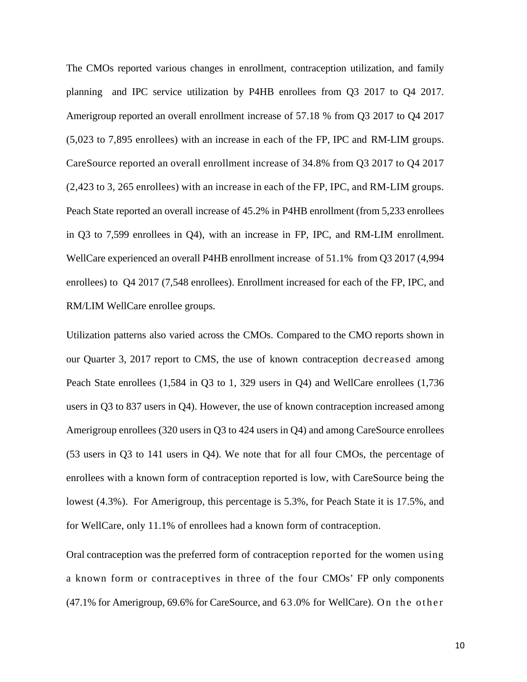The CMOs reported various changes in enrollment, contraception utilization, and family planning and IPC service utilization by P4HB enrollees from Q3 2017 to Q4 2017. Amerigroup reported an overall enrollment increase of 57.18 % from Q3 2017 to Q4 2017 (5,023 to 7,895 enrollees) with an increase in each of the FP, IPC and RM-LIM groups. CareSource reported an overall enrollment increase of 34.8% from Q3 2017 to Q4 2017 (2,423 to 3, 265 enrollees) with an increase in each of the FP, IPC, and RM-LIM groups. Peach State reported an overall increase of 45.2% in P4HB enrollment (from 5,233 enrollees in Q3 to 7,599 enrollees in Q4), with an increase in FP, IPC, and RM-LIM enrollment. WellCare experienced an overall P4HB enrollment increase of 51.1% from Q3 2017 (4,994 enrollees) to Q4 2017 (7,548 enrollees). Enrollment increased for each of the FP, IPC, and RM/LIM WellCare enrollee groups.

Utilization patterns also varied across the CMOs. Compared to the CMO reports shown in our Quarter 3, 2017 report to CMS, the use of known contraception decreased among Peach State enrollees (1,584 in Q3 to 1, 329 users in Q4) and WellCare enrollees (1,736 users in Q3 to 837 users in Q4). However, the use of known contraception increased among Amerigroup enrollees (320 users in Q3 to 424 users in Q4) and among CareSource enrollees (53 users in Q3 to 141 users in Q4). We note that for all four CMOs, the percentage of enrollees with a known form of contraception reported is low, with CareSource being the lowest (4.3%). For Amerigroup, this percentage is 5.3%, for Peach State it is 17.5%, and for WellCare, only 11.1% of enrollees had a known form of contraception.

Oral contraception was the preferred form of contraception reported for the women using a known form or contraceptives in three of the four CMOs' FP only components (47.1% for Amerigroup, 69.6% for CareSource, and 6 3 .0% for WellCare). On the other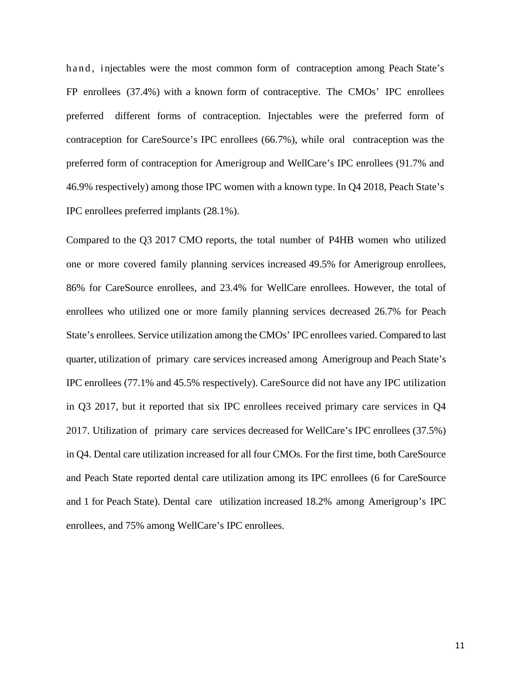hand, injectables were the most common form of contraception among Peach State's FP enrollees (37.4%) with a known form of contraceptive. The CMOs' IPC enrollees preferred different forms of contraception. Injectables were the preferred form of contraception for CareSource's IPC enrollees (66.7%), while oral contraception was the preferred form of contraception for Amerigroup and WellCare's IPC enrollees (91.7% and 46.9% respectively) among those IPC women with a known type. In Q4 2018, Peach State's IPC enrollees preferred implants (28.1%).

Compared to the Q3 2017 CMO reports, the total number of P4HB women who utilized one or more covered family planning services increased 49.5% for Amerigroup enrollees, 86% for CareSource enrollees, and 23.4% for WellCare enrollees. However, the total of enrollees who utilized one or more family planning services decreased 26.7% for Peach State's enrollees. Service utilization among the CMOs' IPC enrollees varied. Compared to last quarter, utilization of primary care services increased among Amerigroup and Peach State's IPC enrollees (77.1% and 45.5% respectively). CareSource did not have any IPC utilization in Q3 2017, but it reported that six IPC enrollees received primary care services in Q4 2017. Utilization of primary care services decreased for WellCare's IPC enrollees (37.5%) in Q4. Dental care utilization increased for all four CMOs. For the first time, both CareSource and Peach State reported dental care utilization among its IPC enrollees (6 for CareSource and 1 for Peach State). Dental care utilization increased 18.2% among Amerigroup's IPC enrollees, and 75% among WellCare's IPC enrollees.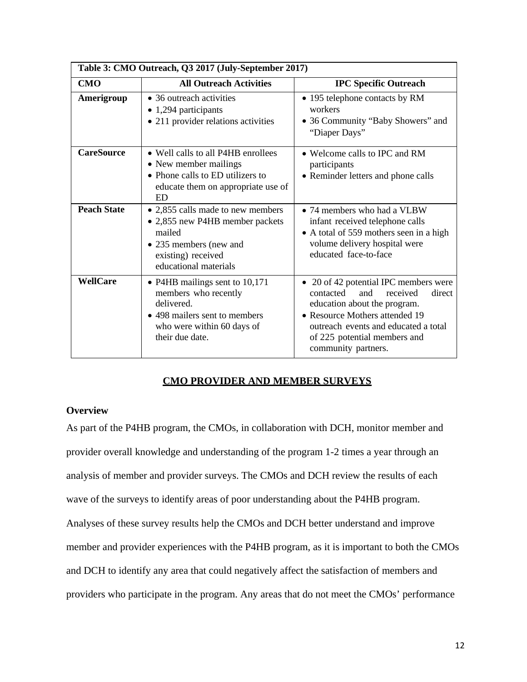| Table 3: CMO Outreach, Q3 2017 (July-September 2017) |                                                                                                                                                         |                                                                                                                                                                                                                                                  |  |  |  |  |
|------------------------------------------------------|---------------------------------------------------------------------------------------------------------------------------------------------------------|--------------------------------------------------------------------------------------------------------------------------------------------------------------------------------------------------------------------------------------------------|--|--|--|--|
| <b>CMO</b>                                           | <b>All Outreach Activities</b>                                                                                                                          | <b>IPC Specific Outreach</b>                                                                                                                                                                                                                     |  |  |  |  |
| Amerigroup                                           | • 36 outreach activities<br>• 1,294 participants<br>• 211 provider relations activities                                                                 | • 195 telephone contacts by RM<br>workers<br>• 36 Community "Baby Showers" and<br>"Diaper Days"                                                                                                                                                  |  |  |  |  |
| <b>CareSource</b>                                    | • Well calls to all P4HB enrollees<br>• New member mailings<br>• Phone calls to ED utilizers to<br>educate them on appropriate use of<br>ED             | • Welcome calls to IPC and RM<br>participants<br>• Reminder letters and phone calls                                                                                                                                                              |  |  |  |  |
| <b>Peach State</b>                                   | • 2,855 calls made to new members<br>• 2,855 new P4HB member packets<br>mailed<br>• 235 members (new and<br>existing) received<br>educational materials | • 74 members who had a VLBW<br>infant received telephone calls<br>• A total of 559 mothers seen in a high<br>volume delivery hospital were<br>educated face-to-face                                                                              |  |  |  |  |
| <b>WellCare</b>                                      | • P4HB mailings sent to 10,171<br>members who recently<br>delivered.<br>• 498 mailers sent to members<br>who were within 60 days of<br>their due date.  | • 20 of 42 potential IPC members were<br>contacted<br>and<br>received<br>direct<br>education about the program.<br>• Resource Mothers attended 19<br>outreach events and educated a total<br>of 225 potential members and<br>community partners. |  |  |  |  |

# **CMO PROVIDER AND MEMBER SURVEYS**

## **Overview**

As part of the P4HB program, the CMOs, in collaboration with DCH, monitor member and provider overall knowledge and understanding of the program 1-2 times a year through an analysis of member and provider surveys. The CMOs and DCH review the results of each wave of the surveys to identify areas of poor understanding about the P4HB program. Analyses of these survey results help the CMOs and DCH better understand and improve member and provider experiences with the P4HB program, as it is important to both the CMOs and DCH to identify any area that could negatively affect the satisfaction of members and providers who participate in the program. Any areas that do not meet the CMOs' performance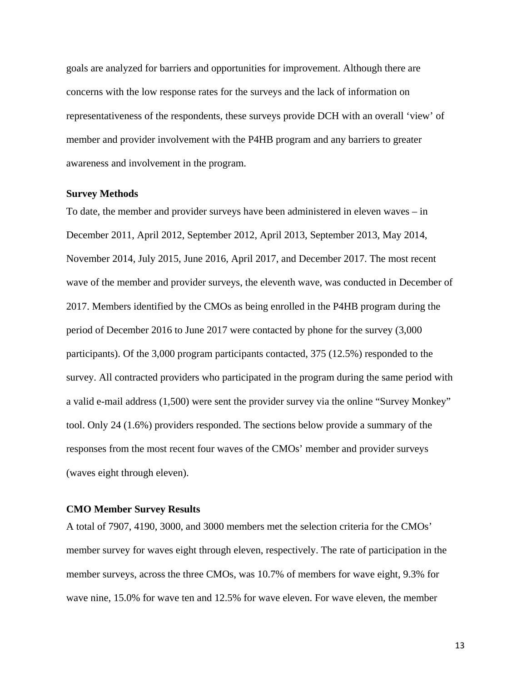goals are analyzed for barriers and opportunities for improvement. Although there are concerns with the low response rates for the surveys and the lack of information on representativeness of the respondents, these surveys provide DCH with an overall 'view' of member and provider involvement with the P4HB program and any barriers to greater awareness and involvement in the program.

#### **Survey Methods**

To date, the member and provider surveys have been administered in eleven waves – in December 2011, April 2012, September 2012, April 2013, September 2013, May 2014, November 2014, July 2015, June 2016, April 2017, and December 2017. The most recent wave of the member and provider surveys, the eleventh wave, was conducted in December of 2017. Members identified by the CMOs as being enrolled in the P4HB program during the period of December 2016 to June 2017 were contacted by phone for the survey (3,000 participants). Of the 3,000 program participants contacted, 375 (12.5%) responded to the survey. All contracted providers who participated in the program during the same period with a valid e-mail address (1,500) were sent the provider survey via the online "Survey Monkey" tool. Only 24 (1.6%) providers responded. The sections below provide a summary of the responses from the most recent four waves of the CMOs' member and provider surveys (waves eight through eleven).

#### **CMO Member Survey Results**

A total of 7907, 4190, 3000, and 3000 members met the selection criteria for the CMOs' member survey for waves eight through eleven, respectively. The rate of participation in the member surveys, across the three CMOs, was 10.7% of members for wave eight, 9.3% for wave nine, 15.0% for wave ten and 12.5% for wave eleven. For wave eleven, the member

13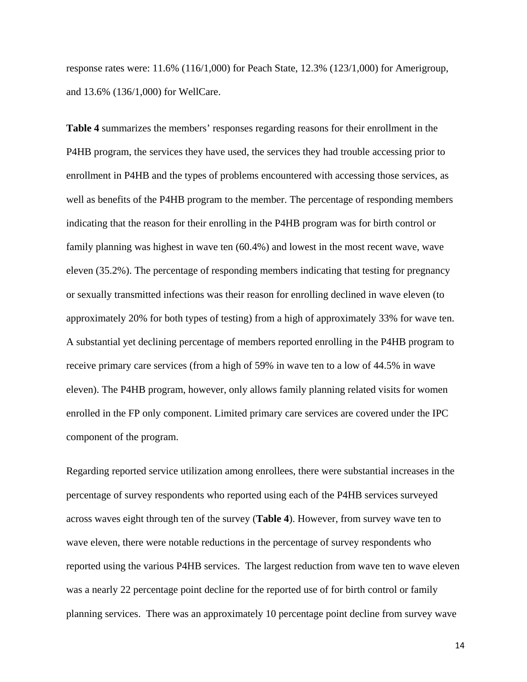response rates were: 11.6% (116/1,000) for Peach State, 12.3% (123/1,000) for Amerigroup, and 13.6% (136/1,000) for WellCare.

**Table 4** summarizes the members' responses regarding reasons for their enrollment in the P4HB program, the services they have used, the services they had trouble accessing prior to enrollment in P4HB and the types of problems encountered with accessing those services, as well as benefits of the P4HB program to the member. The percentage of responding members indicating that the reason for their enrolling in the P4HB program was for birth control or family planning was highest in wave ten (60.4%) and lowest in the most recent wave, wave eleven (35.2%). The percentage of responding members indicating that testing for pregnancy or sexually transmitted infections was their reason for enrolling declined in wave eleven (to approximately 20% for both types of testing) from a high of approximately 33% for wave ten. A substantial yet declining percentage of members reported enrolling in the P4HB program to receive primary care services (from a high of 59% in wave ten to a low of 44.5% in wave eleven). The P4HB program, however, only allows family planning related visits for women enrolled in the FP only component. Limited primary care services are covered under the IPC component of the program.

Regarding reported service utilization among enrollees, there were substantial increases in the percentage of survey respondents who reported using each of the P4HB services surveyed across waves eight through ten of the survey (**Table 4**). However, from survey wave ten to wave eleven, there were notable reductions in the percentage of survey respondents who reported using the various P4HB services. The largest reduction from wave ten to wave eleven was a nearly 22 percentage point decline for the reported use of for birth control or family planning services. There was an approximately 10 percentage point decline from survey wave

14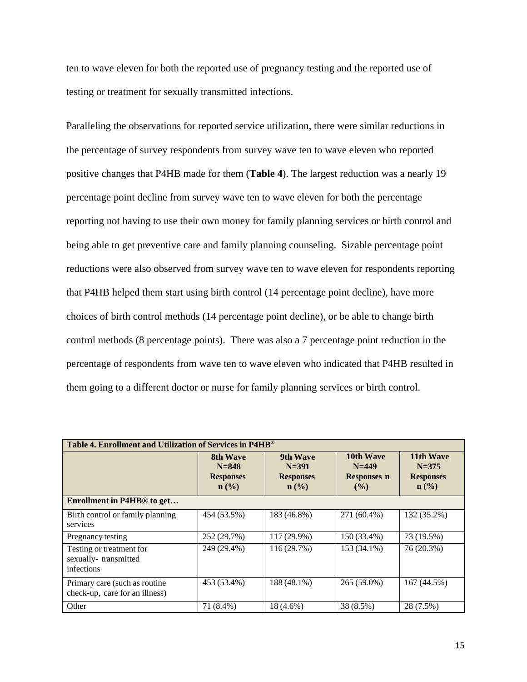ten to wave eleven for both the reported use of pregnancy testing and the reported use of testing or treatment for sexually transmitted infections.

Paralleling the observations for reported service utilization, there were similar reductions in the percentage of survey respondents from survey wave ten to wave eleven who reported positive changes that P4HB made for them (**Table 4**). The largest reduction was a nearly 19 percentage point decline from survey wave ten to wave eleven for both the percentage reporting not having to use their own money for family planning services or birth control and being able to get preventive care and family planning counseling. Sizable percentage point reductions were also observed from survey wave ten to wave eleven for respondents reporting that P4HB helped them start using birth control (14 percentage point decline), have more choices of birth control methods (14 percentage point decline), or be able to change birth control methods (8 percentage points). There was also a 7 percentage point reduction in the percentage of respondents from wave ten to wave eleven who indicated that P4HB resulted in them going to a different doctor or nurse for family planning services or birth control.

| Table 4. Enrollment and Utilization of Services in P4HB®        |                                                                          |                                                               |                                                        |                                                                           |  |  |  |
|-----------------------------------------------------------------|--------------------------------------------------------------------------|---------------------------------------------------------------|--------------------------------------------------------|---------------------------------------------------------------------------|--|--|--|
|                                                                 | 8th Wave<br>$N = 848$<br><b>Responses</b><br>$n\left(\frac{0}{0}\right)$ | 9th Wave<br>$N = 391$<br><b>Responses</b><br>$\mathbf{n}(\%)$ | 10th Wave<br>$N = 449$<br><b>Responses n</b><br>$($ %) | 11th Wave<br>$N = 375$<br><b>Responses</b><br>$n\left(\frac{0}{0}\right)$ |  |  |  |
| Enrollment in P4HB <sup>®</sup> to get                          |                                                                          |                                                               |                                                        |                                                                           |  |  |  |
| Birth control or family planning<br>services                    | 454 (53.5%)                                                              | 183 (46.8%)                                                   | 271 (60.4%)                                            | 132 (35.2%)                                                               |  |  |  |
| Pregnancy testing                                               | 252 (29.7%)                                                              | 117 (29.9%)                                                   | 150 (33.4%)                                            | 73 (19.5%)                                                                |  |  |  |
| Testing or treatment for<br>sexually-transmitted<br>infections  | 249 (29.4%)                                                              | 116 (29.7%)                                                   | 153 (34.1%)                                            | 76 (20.3%)                                                                |  |  |  |
| Primary care (such as routine<br>check-up, care for an illness) | 453 (53.4%)                                                              | 188 (48.1%)                                                   | 265 (59.0%)                                            | 167 (44.5%)                                                               |  |  |  |
| Other                                                           | 71 (8.4%)                                                                | 18 (4.6%)                                                     | 38 (8.5%)                                              | 28 (7.5%)                                                                 |  |  |  |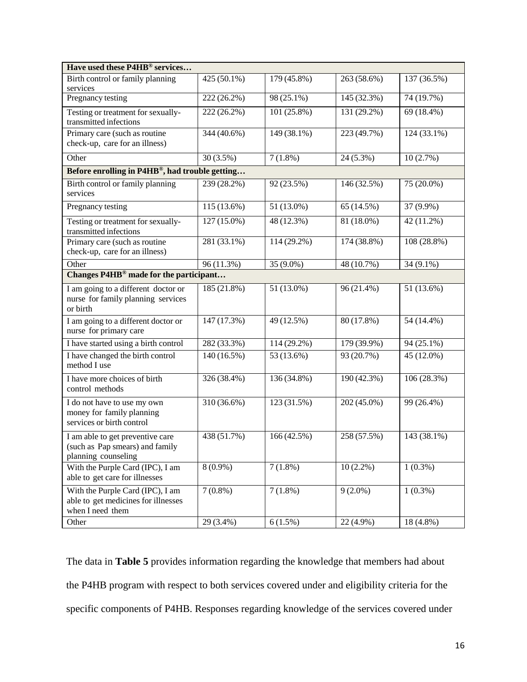| Have used these P4HB® services                                                              |               |                          |             |              |  |  |  |
|---------------------------------------------------------------------------------------------|---------------|--------------------------|-------------|--------------|--|--|--|
| Birth control or family planning<br>services                                                | 425 (50.1%)   | 179 (45.8%)              | 263 (58.6%) | 137 (36.5%)  |  |  |  |
| Pregnancy testing                                                                           | 222 (26.2%)   | 98 (25.1%)               | 145 (32.3%) | 74 (19.7%)   |  |  |  |
| Testing or treatment for sexually-<br>transmitted infections                                | 222 (26.2%)   | 101 (25.8%)              | 131 (29.2%) | $69(18.4\%)$ |  |  |  |
| Primary care (such as routine<br>check-up, care for an illness)                             | 344 (40.6%)   | 149 (38.1%)              | 223 (49.7%) | 124 (33.1%)  |  |  |  |
| Other                                                                                       | $30(3.5\%)$   | $7(1.8\%)$               | 24 (5.3%)   | 10(2.7%)     |  |  |  |
| Before enrolling in P4HB®, had trouble getting                                              |               |                          |             |              |  |  |  |
| Birth control or family planning<br>services                                                | 239 (28.2%)   | 92 (23.5%)               | 146 (32.5%) | 75 (20.0%)   |  |  |  |
| Pregnancy testing                                                                           | $115(13.6\%)$ | 51 (13.0%)               | 65 (14.5%)  | 37 (9.9%)    |  |  |  |
| Testing or treatment for sexually-<br>transmitted infections                                | 127 (15.0%)   | 48 (12.3%)               | 81 (18.0%)  | 42 (11.2%)   |  |  |  |
| Primary care (such as routine<br>check-up, care for an illness)                             | 281 (33.1%)   | $\overline{114}$ (29.2%) | 174 (38.8%) | 108 (28.8%)  |  |  |  |
| Other                                                                                       | 96 (11.3%)    | 35 (9.0%)                | 48 (10.7%)  | 34 (9.1%)    |  |  |  |
| Changes P4HB <sup>®</sup> made for the participant                                          |               |                          |             |              |  |  |  |
| I am going to a different doctor or<br>nurse for family planning services<br>or birth       | 185 (21.8%)   | $\overline{51}$ (13.0%)  | 96 (21.4%)  | 51 (13.6%)   |  |  |  |
| I am going to a different doctor or<br>nurse for primary care                               | 147 (17.3%)   | 49 (12.5%)               | 80 (17.8%)  | 54 (14.4%)   |  |  |  |
| I have started using a birth control                                                        | 282 (33.3%)   | 114 (29.2%)              | 179 (39.9%) | 94 (25.1%)   |  |  |  |
| I have changed the birth control<br>method I use                                            | 140 (16.5%)   | 53 (13.6%)               | 93 (20.7%)  | 45 (12.0%)   |  |  |  |
| I have more choices of birth<br>control methods                                             | 326 (38.4%)   | 136 (34.8%)              | 190 (42.3%) | 106 (28.3%)  |  |  |  |
| I do not have to use my own<br>money for family planning<br>services or birth control       | 310 (36.6%)   | 123 (31.5%)              | 202 (45.0%) | 99 (26.4%)   |  |  |  |
| I am able to get preventive care<br>(such as Pap smears) and family<br>planning counseling  | 438 (51.7%)   | 166 (42.5%)              | 258 (57.5%) | 143 (38.1%)  |  |  |  |
| With the Purple Card (IPC), I am<br>able to get care for illnesses                          | $8(0.9\%)$    | $7(1.8\%)$               | $10(2.2\%)$ | $1(0.3\%)$   |  |  |  |
| With the Purple Card (IPC), I am<br>able to get medicines for illnesses<br>when I need them | $7(0.8\%)$    | $7(1.8\%)$               | $9(2.0\%)$  | $1(0.3\%)$   |  |  |  |
| Other                                                                                       | 29 (3.4%)     | $6(1.5\%)$               | 22 (4.9%)   | 18 (4.8%)    |  |  |  |

The data in **Table 5** provides information regarding the knowledge that members had about the P4HB program with respect to both services covered under and eligibility criteria for the specific components of P4HB. Responses regarding knowledge of the services covered under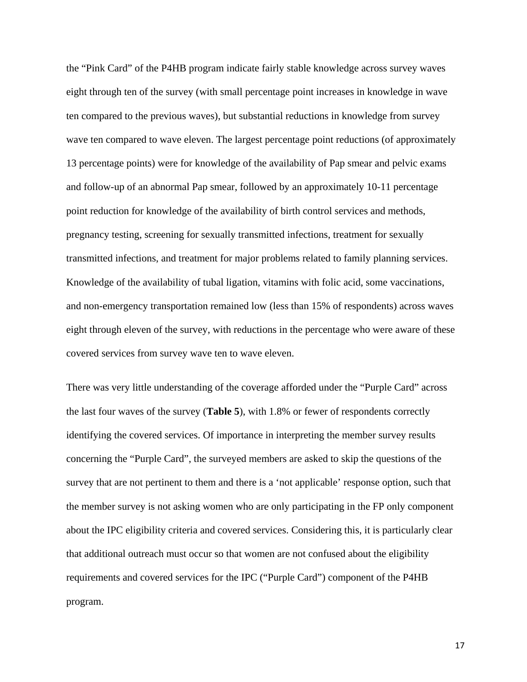the "Pink Card" of the P4HB program indicate fairly stable knowledge across survey waves eight through ten of the survey (with small percentage point increases in knowledge in wave ten compared to the previous waves), but substantial reductions in knowledge from survey wave ten compared to wave eleven. The largest percentage point reductions (of approximately 13 percentage points) were for knowledge of the availability of Pap smear and pelvic exams and follow-up of an abnormal Pap smear, followed by an approximately 10-11 percentage point reduction for knowledge of the availability of birth control services and methods, pregnancy testing, screening for sexually transmitted infections, treatment for sexually transmitted infections, and treatment for major problems related to family planning services. Knowledge of the availability of tubal ligation, vitamins with folic acid, some vaccinations, and non-emergency transportation remained low (less than 15% of respondents) across waves eight through eleven of the survey, with reductions in the percentage who were aware of these covered services from survey wave ten to wave eleven.

There was very little understanding of the coverage afforded under the "Purple Card" across the last four waves of the survey (**Table 5**), with 1.8% or fewer of respondents correctly identifying the covered services. Of importance in interpreting the member survey results concerning the "Purple Card", the surveyed members are asked to skip the questions of the survey that are not pertinent to them and there is a 'not applicable' response option, such that the member survey is not asking women who are only participating in the FP only component about the IPC eligibility criteria and covered services. Considering this, it is particularly clear that additional outreach must occur so that women are not confused about the eligibility requirements and covered services for the IPC ("Purple Card") component of the P4HB program.

17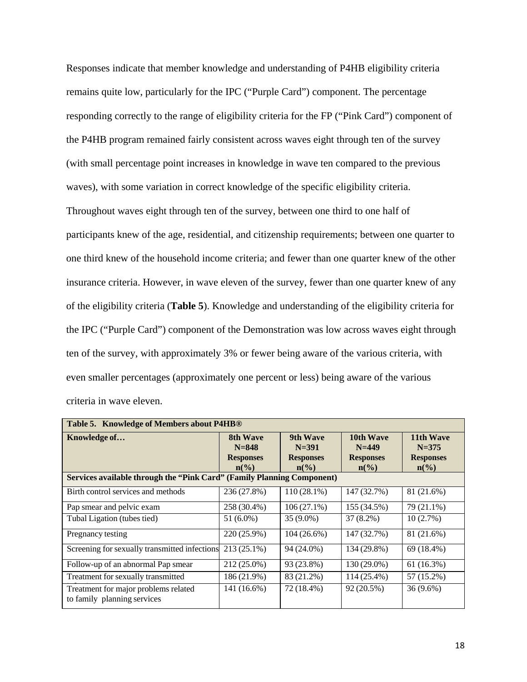Responses indicate that member knowledge and understanding of P4HB eligibility criteria remains quite low, particularly for the IPC ("Purple Card") component. The percentage responding correctly to the range of eligibility criteria for the FP ("Pink Card") component of the P4HB program remained fairly consistent across waves eight through ten of the survey (with small percentage point increases in knowledge in wave ten compared to the previous waves), with some variation in correct knowledge of the specific eligibility criteria. Throughout waves eight through ten of the survey, between one third to one half of participants knew of the age, residential, and citizenship requirements; between one quarter to one third knew of the household income criteria; and fewer than one quarter knew of the other insurance criteria. However, in wave eleven of the survey, fewer than one quarter knew of any of the eligibility criteria (**Table 5**). Knowledge and understanding of the eligibility criteria for the IPC ("Purple Card") component of the Demonstration was low across waves eight through ten of the survey, with approximately 3% or fewer being aware of the various criteria, with even smaller percentages (approximately one percent or less) being aware of the various criteria in wave eleven.

| Table 5. Knowledge of Members about P4HB®                              |                             |                             |                             |                             |  |  |  |
|------------------------------------------------------------------------|-----------------------------|-----------------------------|-----------------------------|-----------------------------|--|--|--|
| Knowledge of                                                           | <b>8th Wave</b>             | 9th Wave                    | 10th Wave                   | 11th Wave                   |  |  |  |
|                                                                        | $N = 848$                   | $N = 391$                   | $N = 449$                   | $N = 375$                   |  |  |  |
|                                                                        | <b>Responses</b>            | <b>Responses</b>            | <b>Responses</b>            | <b>Responses</b>            |  |  |  |
|                                                                        | $n\left(\frac{0}{0}\right)$ | $n\left(\frac{0}{0}\right)$ | $n\left(\frac{0}{0}\right)$ | $n\left(\frac{0}{0}\right)$ |  |  |  |
| Services available through the "Pink Card" (Family Planning Component) |                             |                             |                             |                             |  |  |  |
| Birth control services and methods                                     | 236 (27.8%)                 | 110 (28.1%)                 | 147 (32.7%)                 | 81 (21.6%)                  |  |  |  |
| Pap smear and pelvic exam                                              | 258 (30.4%)                 | $106(27.1\%)$               | 155 (34.5%)                 | 79 (21.1%)                  |  |  |  |
| Tubal Ligation (tubes tied)                                            | 51 (6.0%)                   | $35(9.0\%)$                 | $37(8.2\%)$                 | 10(2.7%)                    |  |  |  |
| Pregnancy testing                                                      | 220 (25.9%)                 | $104(26.6\%)$               | 147 (32.7%)                 | 81 (21.6%)                  |  |  |  |
| Screening for sexually transmitted infections                          | 213 (25.1%)                 | 94 (24.0%)                  | 134 (29.8%)                 | 69 (18.4%)                  |  |  |  |
| Follow-up of an abnormal Pap smear                                     | 212 (25.0%)                 | 93 (23.8%)                  | 130 (29.0%)                 | 61 (16.3%)                  |  |  |  |
| Treatment for sexually transmitted                                     | 186 (21.9%)                 | 83 (21.2%)                  | 114 (25.4%)                 | 57 (15.2%)                  |  |  |  |
| Treatment for major problems related<br>to family planning services    | 141 (16.6%)                 | 72 (18.4%)                  | 92 (20.5%)                  | $36(9.6\%)$                 |  |  |  |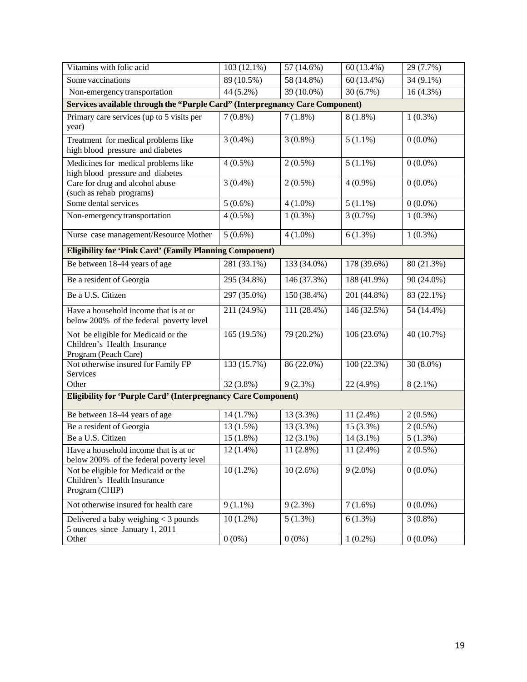| Vitamins with folic acid                                                                   | 103 (12.1%)               | 57 (14.6%)               | 60 (13.4%)   | $\overline{29(7.7\%)}$ |
|--------------------------------------------------------------------------------------------|---------------------------|--------------------------|--------------|------------------------|
| Some vaccinations                                                                          | 89 (10.5%)                | 58 (14.8%)               | $60(13.4\%)$ | 34 (9.1%)              |
| Non-emergency transportation                                                               | 44 (5.2%)                 | $39(10.0\%)$             | 30(6.7%)     | $16(4.3\%)$            |
| Services available through the "Purple Card" (Interpregnancy Care Component)               |                           |                          |              |                        |
| Primary care services (up to 5 visits per<br>year)                                         | $7(0.8\%)$                | $7(1.8\%)$               | $8(1.8\%)$   | $1(0.3\%)$             |
| Treatment for medical problems like<br>high blood pressure and diabetes                    | $3(0.4\%)$                | $3(0.8\%)$               | $5(1.1\%)$   | $0(0.0\%)$             |
| Medicines for medical problems like<br>high blood pressure and diabetes                    | $4(0.5\%)$                | $2(0.5\%)$               | $5(1.1\%)$   | $0(0.0\%)$             |
| Care for drug and alcohol abuse<br>(such as rehab programs)                                | $3(0.4\%)$                | $2(0.5\%)$               | $4(0.9\%)$   | $0(0.0\%)$             |
| Some dental services                                                                       | $5(0.6\%)$                | $4(1.0\%)$               | $5(1.1\%)$   | $0(0.0\%)$             |
| Non-emergency transportation                                                               | $4(0.5\%)$                | $1(0.3\%)$               | $3(0.7\%)$   | $1(0.3\%)$             |
| Nurse case management/Resource Mother                                                      | $5(0.6\%)$                | $4(1.0\%)$               | 6(1.3%)      | $1(0.3\%)$             |
| <b>Eligibility for 'Pink Card' (Family Planning Component)</b>                             |                           |                          |              |                        |
| Be between 18-44 years of age                                                              | $\overline{281 (33.1\%)}$ | 133 (34.0%)              | 178 (39.6%)  | 80(21.3%)              |
| Be a resident of Georgia                                                                   | 295 (34.8%)               | 146 (37.3%)              | 188 (41.9%)  | 90 (24.0%)             |
| Be a U.S. Citizen                                                                          | 297 (35.0%)               | 150 (38.4%)              | 201 (44.8%)  | 83 (22.1%)             |
| Have a household income that is at or<br>below 200% of the federal poverty level           | 211 (24.9%)               | $\overline{111(28.4\%)}$ | 146 (32.5%)  | 54 (14.4%)             |
| Not be eligible for Medicaid or the<br>Children's Health Insurance<br>Program (Peach Care) | 165 (19.5%)               | 79 (20.2%)               | 106(23.6%)   | 40 (10.7%)             |
| Not otherwise insured for Family FP<br>Services                                            | 133 (15.7%)               | 86 (22.0%)               | 100(22.3%)   | $30(8.0\%)$            |
| Other                                                                                      | $32(3.8\%)$               | $9(2.3\%)$               | 22 (4.9%)    | $8(2.1\%)$             |
| <b>Eligibility for 'Purple Card' (Interpregnancy Care Component)</b>                       |                           |                          |              |                        |
| Be between 18-44 years of age                                                              | 14 (1.7%)                 | 13 (3.3%)                | $11(2.4\%)$  | $2(0.5\%)$             |
| Be a resident of Georgia                                                                   | $13(1.5\%)$               | 13 (3.3%)                | 15 (3.3%)    | $2(0.5\%)$             |
| Be a U.S. Citizen                                                                          | $15(1.8\%)$               | $12(3.1\%)$              | 14 (3.1%)    | $5(1.3\%)$             |
| Have a household income that is at or<br>below 200% of the federal poverty level           | $12(1.4\%)$               | $11(2.8\%)$              | $11(2.4\%)$  | $2(0.5\%)$             |
| Not be eligible for Medicaid or the<br>Children's Health Insurance<br>Program (CHIP)       | $10(1.2\%)$               | $10(2.6\%)$              | $9(2.0\%)$   | $0(0.0\%)$             |
| Not otherwise insured for health care                                                      | $9(1.1\%)$                | $9(2.3\%)$               | $7(1.6\%)$   | $0(0.0\%)$             |
| Delivered a baby weighing < 3 pounds<br>5 ounces since January 1, 2011                     | $10(1.2\%)$               | $5(1.3\%)$               | $6(1.3\%)$   | $3(0.8\%)$             |
| Other                                                                                      | $0(0\%)$                  | $0(0\%)$                 | $1(0.2\%)$   | $0(0.0\%)$             |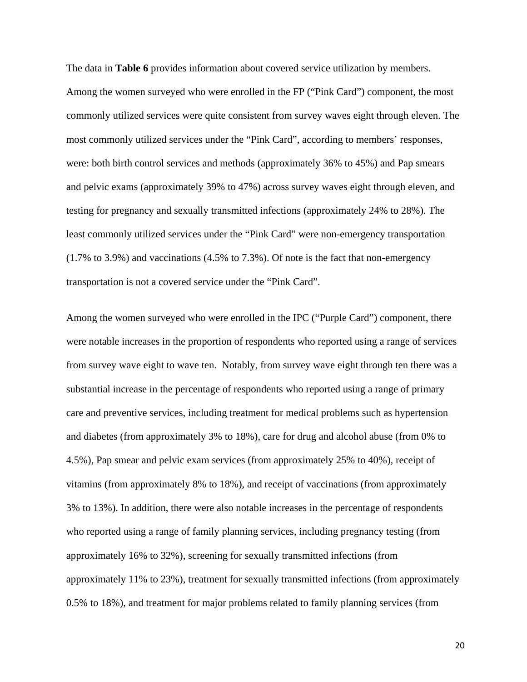The data in **Table 6** provides information about covered service utilization by members. Among the women surveyed who were enrolled in the FP ("Pink Card") component, the most commonly utilized services were quite consistent from survey waves eight through eleven. The most commonly utilized services under the "Pink Card", according to members' responses, were: both birth control services and methods (approximately 36% to 45%) and Pap smears and pelvic exams (approximately 39% to 47%) across survey waves eight through eleven, and testing for pregnancy and sexually transmitted infections (approximately 24% to 28%). The least commonly utilized services under the "Pink Card" were non-emergency transportation (1.7% to 3.9%) and vaccinations (4.5% to 7.3%). Of note is the fact that non-emergency transportation is not a covered service under the "Pink Card".

Among the women surveyed who were enrolled in the IPC ("Purple Card") component, there were notable increases in the proportion of respondents who reported using a range of services from survey wave eight to wave ten. Notably, from survey wave eight through ten there was a substantial increase in the percentage of respondents who reported using a range of primary care and preventive services, including treatment for medical problems such as hypertension and diabetes (from approximately 3% to 18%), care for drug and alcohol abuse (from 0% to 4.5%), Pap smear and pelvic exam services (from approximately 25% to 40%), receipt of vitamins (from approximately 8% to 18%), and receipt of vaccinations (from approximately 3% to 13%). In addition, there were also notable increases in the percentage of respondents who reported using a range of family planning services, including pregnancy testing (from approximately 16% to 32%), screening for sexually transmitted infections (from approximately 11% to 23%), treatment for sexually transmitted infections (from approximately 0.5% to 18%), and treatment for major problems related to family planning services (from

20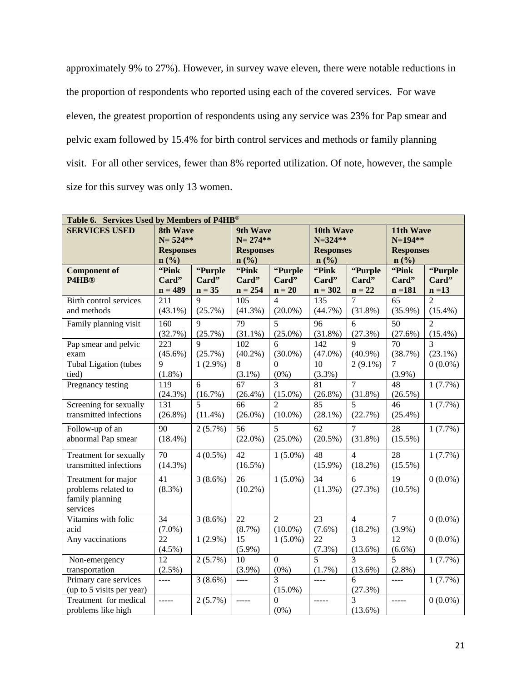approximately 9% to 27%). However, in survey wave eleven, there were notable reductions in the proportion of respondents who reported using each of the covered services. For wave eleven, the greatest proportion of respondents using any service was 23% for Pap smear and pelvic exam followed by 15.4% for birth control services and methods or family planning visit. For all other services, fewer than 8% reported utilization. Of note, however, the sample size for this survey was only 13 women.

| Table 6. Services Used by Members of P4HB® |                             |                          |                       |                |                  |                          |                  |                       |  |
|--------------------------------------------|-----------------------------|--------------------------|-----------------------|----------------|------------------|--------------------------|------------------|-----------------------|--|
| <b>SERVICES USED</b>                       | 8th Wave                    |                          | 9th Wave<br>10th Wave |                |                  | 11th Wave                |                  |                       |  |
|                                            | $N = 524**$                 |                          | $N = 274**$           |                |                  | $N = 324**$              |                  | $N=194**$             |  |
|                                            | <b>Responses</b>            |                          | <b>Responses</b>      |                | <b>Responses</b> |                          | <b>Responses</b> |                       |  |
|                                            | $n\left(\frac{0}{0}\right)$ |                          | n (%)                 |                | n(%)             |                          | n(%)             |                       |  |
| <b>Component of</b>                        | "Pink                       | "Purple                  | "Pink                 | "Purple        | "Pink            | "Purple                  | "Pink            | "Purple               |  |
| P4HB®                                      | Card"                       | Card"                    | Card"                 | Card"          | Card"            | Card"                    | Card"            | Card"                 |  |
|                                            | $n = 489$                   | $n = 35$                 | $n = 254$             | $n = 20$       | $n = 302$        | $n = 22$                 | $n = 181$        | $n = 13$              |  |
| Birth control services                     | 211                         | $\mathbf Q$              | 105                   | 4              | 135              | 7                        | 65               | $\overline{2}$        |  |
| and methods                                | $(43.1\%)$                  | (25.7%)                  | $(41.3\%)$            | $(20.0\%)$     | $(44.7\%)$       | $(31.8\%)$               | $(35.9\%)$       | $(15.4\%)$            |  |
| Family planning visit                      | 160                         | 9                        | 79                    | 5              | 96               | 6                        | 50               | $\overline{2}$        |  |
|                                            | (32.7%)                     | (25.7%)                  | $(31.1\%)$            | $(25.0\%)$     | $(31.8\%)$       | (27.3%)                  | (27.6%)          | $(15.4\%)$            |  |
| Pap smear and pelvic                       | 223                         | 9                        | 102                   | 6              | 142              | $\overline{9}$           | 70               | $\overline{3}$        |  |
| exam                                       | $(45.6\%)$                  | (25.7%)                  | $(40.2\%)$            | $(30.0\%)$     | $(47.0\%)$       | $(40.9\%)$               | (38.7%)          | $(23.1\%)$            |  |
| <b>Tubal Ligation (tubes)</b>              | 9                           | $1(2.9\%)$               | 8                     | $\Omega$       | 10               | $2(9.1\%)$               | $\overline{7}$   | $\overline{0}$ (0.0%) |  |
| tied)                                      | $(1.8\%)$                   |                          | $(3.1\%)$             | $(0\%)$        | $(3.3\%)$        |                          | $(3.9\%)$        |                       |  |
| Pregnancy testing                          | 119                         | 6                        | 67                    | 3              | 81               | $\overline{7}$           | 48               | 1(7.7%)               |  |
|                                            | (24.3%)                     | (16.7%)                  | $(26.4\%)$            | $(15.0\%)$     | $(26.8\%)$       | (31.8%)                  | $(26.5\%)$       |                       |  |
| Screening for sexually                     | 131                         | $\overline{\phantom{0}}$ | 66                    | $\mathfrak{D}$ | 85               | $\overline{\phantom{0}}$ | 46               | 1(7.7%)               |  |
| transmitted infections                     | $(26.8\%)$                  | $(11.4\%)$               | $(26.0\%)$            | $(10.0\%)$     | $(28.1\%)$       | (22.7%)                  | $(25.4\%)$       |                       |  |
| Follow-up of an                            | 90                          | $\overline{2}(5.7\%)$    | 56                    | 5              | 62               | $\overline{7}$           | 28               | $1(7.7\%)$            |  |
| abnormal Pap smear                         | $(18.4\%)$                  |                          | $(22.0\%)$            | $(25.0\%)$     | $(20.5\%)$       | $(31.8\%)$               | $(15.5\%)$       |                       |  |
| Treatment for sexually                     | $\overline{70}$             | $4(0.5\%)$               | 42                    | $1(5.0\%)$     | 48               | $\overline{4}$           | 28               | 1(7.7%)               |  |
| transmitted infections                     | $(14.3\%)$                  |                          | $(16.5\%)$            |                | $(15.9\%)$       | $(18.2\%)$               | $(15.5\%)$       |                       |  |
| Treatment for major                        | 41                          | $3(8.6\%)$               | 26                    | $1(5.0\%)$     | 34               | 6                        | 19               | $0(0.0\%)$            |  |
| problems related to                        | (8.3%)                      |                          | $(10.2\%)$            |                | (11.3%)          | (27.3%)                  | $(10.5\%)$       |                       |  |
| family planning                            |                             |                          |                       |                |                  |                          |                  |                       |  |
| services                                   |                             |                          |                       |                |                  |                          |                  |                       |  |
| Vitamins with folic                        | 34                          | 3(8.6%)                  | 22                    | $\overline{2}$ | 23               | $\overline{4}$           | $\overline{7}$   | $0(0.0\%)$            |  |
| acid                                       | $(7.0\%)$                   |                          | $(8.7\%)$             | $(10.0\%)$     | $(7.6\%)$        | $(18.2\%)$               | $(3.9\%)$        |                       |  |
| Any vaccinations                           | 22                          | $1(2.9\%)$               | 15                    | $1(5.0\%)$     | 22               | 3                        | 12               | $0(0.0\%)$            |  |
|                                            | $(4.5\%)$                   |                          | $(5.9\%)$             |                | (7.3%)           | $(13.6\%)$               | $(6.6\%)$        |                       |  |
| Non-emergency                              | 12                          | 2(5.7%)                  | 10                    | $\overline{0}$ | 5                | $\overline{3}$           | 5                | 1(7.7%)               |  |
| transportation                             | (2.5%)                      |                          | $(3.9\%)$             | $(0\%)$        | $(1.7\%)$        | $(13.6\%)$               | $(2.8\%)$        |                       |  |
| Primary care services                      | $---$                       | $3(8.6\%)$               | $---$                 | 3              | $\frac{1}{2}$    | 6                        | $---$            | $1(7.7\%)$            |  |
| (up to 5 visits per year)                  |                             |                          |                       | $(15.0\%)$     |                  | (27.3%)                  |                  |                       |  |
| Treatment for medical                      | -----                       | $\overline{2}(5.7\%)$    | $\frac{1}{1}$         | $\theta$       | -----            | 3                        | -----            | $0(0.0\%)$            |  |
| problems like high                         |                             |                          |                       | $(0\%)$        |                  | $(13.6\%)$               |                  |                       |  |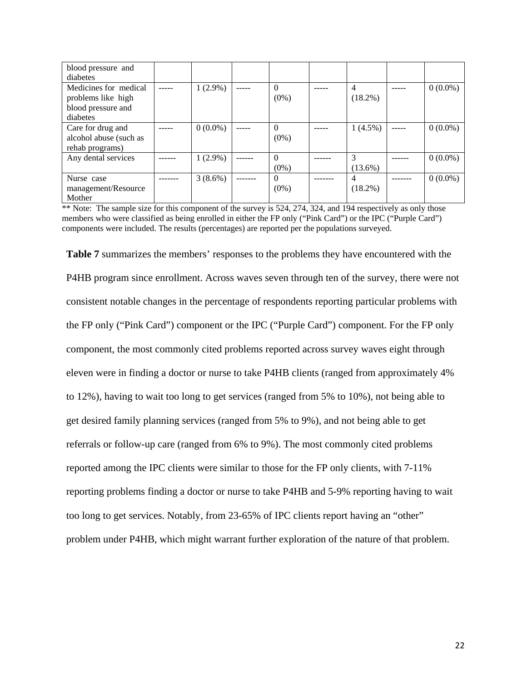| blood pressure and<br>diabetes                                                |            |                     |                              |            |
|-------------------------------------------------------------------------------|------------|---------------------|------------------------------|------------|
| Medicines for medical<br>problems like high<br>blood pressure and<br>diabetes | $1(2.9\%)$ | $\Omega$<br>$(0\%)$ | 4<br>$(18.2\%)$              | $0(0.0\%)$ |
| Care for drug and<br>alcohol abuse (such as<br>rehab programs)                | $0(0.0\%)$ | $\Omega$<br>$(0\%)$ | $1(4.5\%)$                   | $0(0.0\%)$ |
| Any dental services                                                           | $1(2.9\%)$ | $\Omega$<br>$(0\%)$ | 3<br>$(13.6\%)$              | $0(0.0\%)$ |
| Nurse case<br>management/Resource<br>Mother                                   | $3(8.6\%)$ | $\Omega$<br>$(0\%)$ | $\overline{4}$<br>$(18.2\%)$ | $0(0.0\%)$ |

\*\* Note: The sample size for this component of the survey is 524, 274, 324, and 194 respectively as only those members who were classified as being enrolled in either the FP only ("Pink Card") or the IPC ("Purple Card") components were included. The results (percentages) are reported per the populations surveyed.

**Table 7** summarizes the members' responses to the problems they have encountered with the P4HB program since enrollment. Across waves seven through ten of the survey, there were not consistent notable changes in the percentage of respondents reporting particular problems with the FP only ("Pink Card") component or the IPC ("Purple Card") component. For the FP only component, the most commonly cited problems reported across survey waves eight through eleven were in finding a doctor or nurse to take P4HB clients (ranged from approximately 4% to 12%), having to wait too long to get services (ranged from 5% to 10%), not being able to get desired family planning services (ranged from 5% to 9%), and not being able to get referrals or follow-up care (ranged from 6% to 9%). The most commonly cited problems reported among the IPC clients were similar to those for the FP only clients, with 7-11% reporting problems finding a doctor or nurse to take P4HB and 5-9% reporting having to wait too long to get services. Notably, from 23-65% of IPC clients report having an "other" problem under P4HB, which might warrant further exploration of the nature of that problem.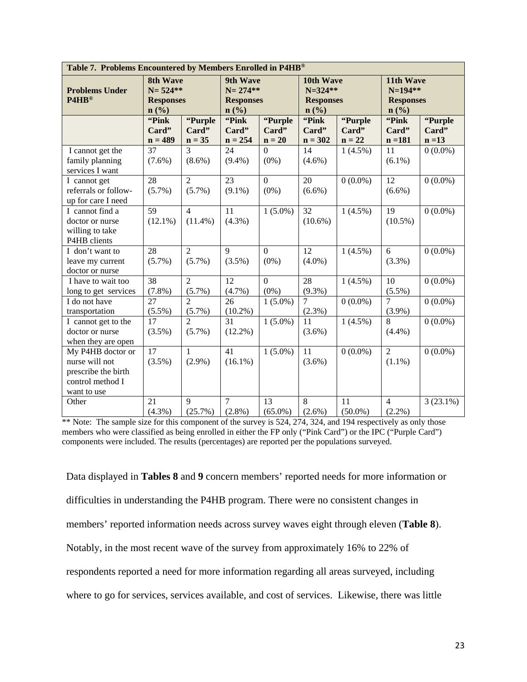| Table 7. Problems Encountered by Members Enrolled in P4HB® |                  |                             |                             |                  |                  |            |                             |             |  |
|------------------------------------------------------------|------------------|-----------------------------|-----------------------------|------------------|------------------|------------|-----------------------------|-------------|--|
|                                                            | <b>8th Wave</b>  |                             | 9th Wave                    |                  | 10th Wave        |            | 11th Wave                   |             |  |
| <b>Problems Under</b>                                      | $N = 524**$      |                             | $N = 274**$                 |                  | $N = 324**$      |            | $N=194**$                   |             |  |
| P4HB®                                                      | <b>Responses</b> |                             | <b>Responses</b>            |                  | <b>Responses</b> |            | <b>Responses</b>            |             |  |
|                                                            | n(%)             |                             | $n\left(\frac{9}{6}\right)$ |                  | n(%)             |            | $n\left(\frac{9}{6}\right)$ |             |  |
|                                                            | "Pink            | "Purple                     | "Pink                       | "Purple          | "Pink            | "Purple    | "Pink                       | "Purple     |  |
|                                                            | Card"            | Card"                       | Card"                       | Card"            | Card"            | Card"      | Card"                       | Card"       |  |
|                                                            | $n = 489$        | $n = 35$                    | $n = 254$                   | $n = 20$         | $n = 302$        | $n = 22$   | $n = 181$                   | $n = 13$    |  |
| I cannot get the                                           | 37               | 3                           | 24                          | $\overline{0}$   | 14               | $1(4.5\%)$ | 11                          | $0(0.0\%)$  |  |
| family planning                                            | $(7.6\%)$        | $(8.6\%)$                   | $(9.4\%)$                   | $(0\%)$          | $(4.6\%)$        |            | $(6.1\%)$                   |             |  |
| services I want                                            |                  |                             |                             |                  |                  |            |                             |             |  |
| I cannot get                                               | 28               | $\overline{2}$              | 23                          | $\overline{0}$   | 20               | $0(0.0\%)$ | 12                          | $0(0.0\%)$  |  |
| referrals or follow-                                       | $(5.7\%)$        | $(5.7\%)$                   | $(9.1\%)$                   | $(0\%)$          | $(6.6\%)$        |            | $(6.6\%)$                   |             |  |
| up for care I need                                         |                  |                             |                             |                  |                  |            |                             |             |  |
| I cannot find a                                            | 59               | $\overline{4}$              | 11                          | $1(5.0\%)$       | 32               | $1(4.5\%)$ | 19                          | $0(0.0\%)$  |  |
| doctor or nurse                                            | $(12.1\%)$       | $(11.4\%)$                  | $(4.3\%)$                   |                  | $(10.6\%)$       |            | $(10.5\%)$                  |             |  |
| willing to take                                            |                  |                             |                             |                  |                  |            |                             |             |  |
| P4HB clients                                               |                  |                             |                             |                  |                  |            |                             |             |  |
| I don't want to                                            | 28               | $\overline{2}$              | $\overline{9}$              | $\overline{0}$   | $\overline{12}$  | $1(4.5\%)$ | 6                           | $0(0.0\%)$  |  |
| leave my current                                           | $(5.7\%)$        | $(5.7\%)$                   | $(3.5\%)$                   | $(0\%)$          | $(4.0\%)$        |            | $(3.3\%)$                   |             |  |
| doctor or nurse                                            |                  |                             |                             |                  |                  |            |                             |             |  |
| I have to wait too                                         | 38               | $\overline{2}$              | 12                          | $\boldsymbol{0}$ | 28               | $1(4.5\%)$ | 10                          | $0(0.0\%)$  |  |
| long to get services                                       | $(7.8\%)$        | $(5.7\%)$                   | $(4.7\%)$                   | $(0\%)$          | $(9.3\%)$        |            | $(5.5\%)$                   |             |  |
| I do not have                                              | $\overline{27}$  | $\mathcal{D}_{\mathcal{A}}$ | 26                          | $1(5.0\%)$       | 7                | $0(0.0\%)$ | $\overline{7}$              | $0(0.0\%)$  |  |
| transportation                                             | $(5.5\%)$        | $(5.7\%)$                   | $(10.2\%)$                  |                  | $(2.3\%)$        |            | $(3.9\%)$                   |             |  |
| I cannot get to the                                        | 17               | $\overline{2}$              | 31                          | $1(5.0\%)$       | 11               | $1(4.5\%)$ | 8                           | $0(0.0\%)$  |  |
| doctor or nurse                                            | $(3.5\%)$        | $(5.7\%)$                   | $(12.2\%)$                  |                  | $(3.6\%)$        |            | (4.4%)                      |             |  |
| when they are open                                         |                  |                             |                             |                  |                  |            |                             |             |  |
| My P4HB doctor or                                          | 17               | 1                           | 41                          | $1(5.0\%)$       | 11               | $0(0.0\%)$ | $\overline{2}$              | $0(0.0\%)$  |  |
| nurse will not                                             | $(3.5\%)$        | $(2.9\%)$                   | $(16.1\%)$                  |                  | $(3.6\%)$        |            | $(1.1\%)$                   |             |  |
| prescribe the birth                                        |                  |                             |                             |                  |                  |            |                             |             |  |
| control method I                                           |                  |                             |                             |                  |                  |            |                             |             |  |
| want to use                                                |                  |                             |                             |                  |                  |            |                             |             |  |
| Other                                                      | 21               | 9                           | $\overline{7}$              | 13               | 8                | 11         | $\overline{4}$              | $3(23.1\%)$ |  |
|                                                            | $(4.3\%)$        | (25.7%)                     | $(2.8\%)$                   | $(65.0\%)$       | $(2.6\%)$        | $(50.0\%)$ | $(2.2\%)$                   |             |  |

\*\* Note: The sample size for this component of the survey is 524, 274, 324, and 194 respectively as only those members who were classified as being enrolled in either the FP only ("Pink Card") or the IPC ("Purple Card") components were included. The results (percentages) are reported per the populations surveyed.

Data displayed in **Tables 8** and **9** concern members' reported needs for more information or difficulties in understanding the P4HB program. There were no consistent changes in members' reported information needs across survey waves eight through eleven (**Table 8**). Notably, in the most recent wave of the survey from approximately 16% to 22% of respondents reported a need for more information regarding all areas surveyed, including where to go for services, services available, and cost of services. Likewise, there was little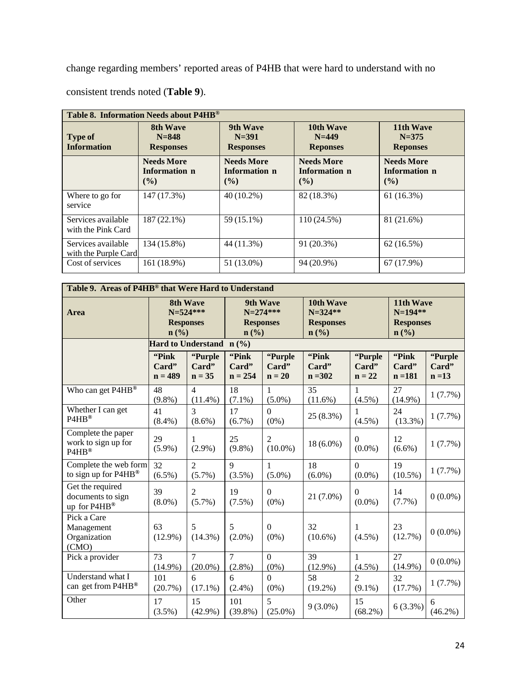change regarding members' reported areas of P4HB that were hard to understand with no consistent trends noted (**Table 9**).

| Table 8. Information Needs about P4HB®     |                                              |                                              |                                              |                                              |  |  |  |  |  |
|--------------------------------------------|----------------------------------------------|----------------------------------------------|----------------------------------------------|----------------------------------------------|--|--|--|--|--|
| <b>Type of</b><br><b>Information</b>       | 8th Wave<br>$N = 848$<br><b>Responses</b>    | 9th Wave<br>$N = 391$<br><b>Responses</b>    | 10th Wave<br>$N = 449$<br><b>Reponses</b>    | 11th Wave<br>$N = 375$<br><b>Reponses</b>    |  |  |  |  |  |
|                                            | <b>Needs More</b><br>Information n<br>$($ %) | <b>Needs More</b><br>Information n<br>$($ %) | <b>Needs More</b><br>Information n<br>$($ %) | <b>Needs More</b><br>Information n<br>$($ %) |  |  |  |  |  |
| Where to go for<br>service                 | 147 (17.3%)                                  | $40(10.2\%)$                                 | 82 (18.3%)                                   | 61(16.3%)                                    |  |  |  |  |  |
| Services available<br>with the Pink Card   | $187(22.1\%)$                                | 59 (15.1%)                                   | 110 (24.5%)                                  | 81 (21.6%)                                   |  |  |  |  |  |
| Services available<br>with the Purple Card | 134 (15.8%)                                  | 44 (11.3%)                                   | 91 (20.3%)                                   | 62(16.5%)                                    |  |  |  |  |  |
| Cost of services                           | 161 (18.9%)                                  | 51 (13.0%)                                   | 94 (20.9%)                                   | 67 (17.9%)                                   |  |  |  |  |  |

| Table 9. Areas of P4HB® that Were Hard to Understand  |                                                             |                              |                                                                                |                              |                                                        |                              |                                                                           |                              |  |  |
|-------------------------------------------------------|-------------------------------------------------------------|------------------------------|--------------------------------------------------------------------------------|------------------------------|--------------------------------------------------------|------------------------------|---------------------------------------------------------------------------|------------------------------|--|--|
| Area                                                  | <b>8th Wave</b><br>$N = 524***$<br><b>Responses</b><br>n(%) |                              | <b>9th Wave</b><br>N=274***<br><b>Responses</b><br>$n\left(\frac{0}{0}\right)$ |                              | 10th Wave<br>$N = 324$ **<br><b>Responses</b><br>n (%) |                              | 11th Wave<br>$N=194**$<br><b>Responses</b><br>$n\left(\frac{0}{0}\right)$ |                              |  |  |
|                                                       |                                                             | Hard to Understand n (%)     |                                                                                |                              |                                                        |                              |                                                                           |                              |  |  |
|                                                       | "Pink"<br>Card"<br>$n = 489$                                | "Purple<br>Card"<br>$n = 35$ | "Pink"<br>Card"<br>$n = 254$                                                   | "Purple<br>Card"<br>$n = 20$ | "Pink<br>Card"<br>$n = 302$                            | "Purple<br>Card"<br>$n = 22$ | "Pink<br>Card"<br>$n = 181$                                               | "Purple<br>Card"<br>$n = 13$ |  |  |
| Who can get P4HB <sup>®</sup>                         | 48<br>$(9.8\%)$                                             | $\overline{4}$<br>$(11.4\%)$ | 18<br>$(7.1\%)$                                                                | $\mathbf{1}$<br>$(5.0\%)$    | 35<br>$(11.6\%)$                                       | 1<br>$(4.5\%)$               | 27<br>$(14.9\%)$                                                          | 1(7.7%)                      |  |  |
| Whether I can get<br>P4HB®                            | 41<br>$(8.4\%)$                                             | 3<br>$(8.6\%)$               | 17<br>$(6.7\%)$                                                                | $\overline{0}$<br>$(0\%)$    | 25 (8.3%)                                              | 1<br>$(4.5\%)$               | 24<br>$(13.3\%)$                                                          | 1(7.7%)                      |  |  |
| Complete the paper<br>work to sign up for<br>P4HB®    | 29<br>$(5.9\%)$                                             | $\mathbf{1}$<br>$(2.9\%)$    | 25<br>$(9.8\%)$                                                                | $\overline{2}$<br>$(10.0\%)$ | $18(6.0\%)$                                            | $\Omega$<br>$(0.0\%)$        | 12<br>$(6.6\%)$                                                           | 1(7.7%)                      |  |  |
| Complete the web form<br>to sign up for P4HB®         | 32<br>$(6.5\%)$                                             | $\overline{2}$<br>$(5.7\%)$  | $\mathbf Q$<br>$(3.5\%)$                                                       | $\mathbf{1}$<br>$(5.0\%)$    | 18<br>$(6.0\%)$                                        | $\Omega$<br>$(0.0\%)$        | 19<br>$(10.5\%)$                                                          | 1(7.7%)                      |  |  |
| Get the required<br>documents to sign<br>up for P4HB® | 39<br>$(8.0\%)$                                             | $\overline{2}$<br>$(5.7\%)$  | 19<br>(7.5%)                                                                   | $\overline{0}$<br>$(0\%)$    | 21 (7.0%)                                              | $\theta$<br>$(0.0\%)$        | 14<br>(7.7%)                                                              | $0(0.0\%)$                   |  |  |
| Pick a Care<br>Management<br>Organization<br>(CMO)    | 63<br>$(12.9\%)$                                            | 5<br>$(14.3\%)$              | 5<br>$(2.0\%)$                                                                 | $\Omega$<br>$(0\%)$          | 32<br>$(10.6\%)$                                       | 1<br>$(4.5\%)$               | 23<br>(12.7%)                                                             | $0(0.0\%)$                   |  |  |
| Pick a provider                                       | 73<br>$(14.9\%)$                                            | $\overline{7}$<br>$(20.0\%)$ | $\overline{7}$<br>$(2.8\%)$                                                    | $\overline{0}$<br>$(0\%)$    | 39<br>$(12.9\%)$                                       | 1<br>$(4.5\%)$               | 27<br>$(14.9\%)$                                                          | $0(0.0\%)$                   |  |  |
| Understand what I<br>can get from P4HB®               | 101<br>(20.7%)                                              | 6<br>$(17.1\%)$              | 6<br>$(2.4\%)$                                                                 | $\overline{0}$<br>$(0\%)$    | 58<br>$(19.2\%)$                                       | $\overline{2}$<br>$(9.1\%)$  | 32<br>(17.7%)                                                             | 1(7.7%)                      |  |  |
| Other                                                 | 17<br>$(3.5\%)$                                             | 15<br>$(42.9\%)$             | 101<br>$(39.8\%)$                                                              | 5<br>$(25.0\%)$              | $9(3.0\%)$                                             | 15<br>$(68.2\%)$             | $6(3.3\%)$                                                                | 6<br>$(46.2\%)$              |  |  |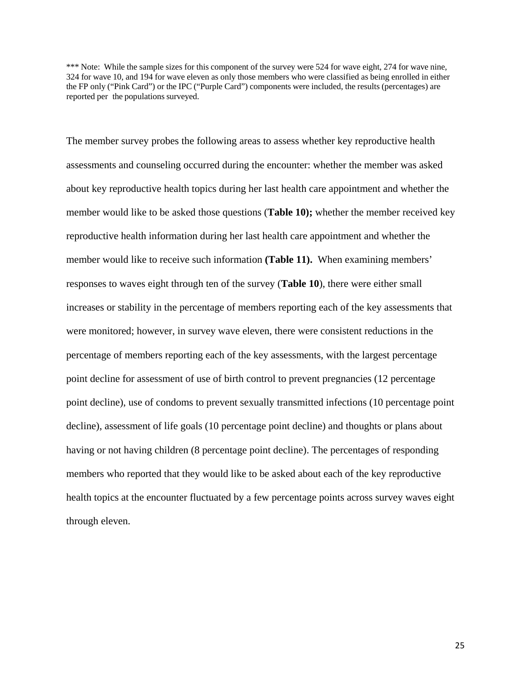\*\*\* Note: While the sample sizes for this component of the survey were 524 for wave eight, 274 for wave nine, 324 for wave 10, and 194 for wave eleven as only those members who were classified as being enrolled in either the FP only ("Pink Card") or the IPC ("Purple Card") components were included, the results (percentages) are reported per the populations surveyed.

The member survey probes the following areas to assess whether key reproductive health assessments and counseling occurred during the encounter: whether the member was asked about key reproductive health topics during her last health care appointment and whether the member would like to be asked those questions (**Table 10);** whether the member received key reproductive health information during her last health care appointment and whether the member would like to receive such information **(Table 11).** When examining members' responses to waves eight through ten of the survey (**Table 10**), there were either small increases or stability in the percentage of members reporting each of the key assessments that were monitored; however, in survey wave eleven, there were consistent reductions in the percentage of members reporting each of the key assessments, with the largest percentage point decline for assessment of use of birth control to prevent pregnancies (12 percentage point decline), use of condoms to prevent sexually transmitted infections (10 percentage point decline), assessment of life goals (10 percentage point decline) and thoughts or plans about having or not having children (8 percentage point decline). The percentages of responding members who reported that they would like to be asked about each of the key reproductive health topics at the encounter fluctuated by a few percentage points across survey waves eight through eleven.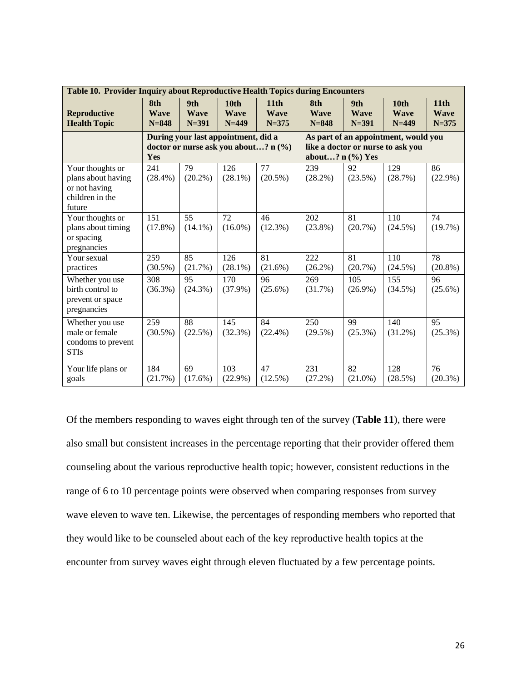|                                                                                      | <b>Table 10. Provider Inquiry about Reproductive Health Topics during Encounters</b> |                                 |                                            |                                              |                                                                                                    |                                 |                                              |                                  |  |  |  |
|--------------------------------------------------------------------------------------|--------------------------------------------------------------------------------------|---------------------------------|--------------------------------------------|----------------------------------------------|----------------------------------------------------------------------------------------------------|---------------------------------|----------------------------------------------|----------------------------------|--|--|--|
| Reproductive<br><b>Health Topic</b>                                                  | 8th<br><b>Wave</b><br>$N = 848$                                                      | 9th<br><b>Wave</b><br>$N = 391$ | 10 <sub>th</sub><br><b>Wave</b><br>$N=449$ | 11 <sub>th</sub><br><b>Wave</b><br>$N = 375$ | 8th<br><b>Wave</b><br>$N = 848$                                                                    | 9th<br><b>Wave</b><br>$N = 391$ | 10 <sub>th</sub><br><b>Wave</b><br>$N = 449$ | 11th<br><b>Wave</b><br>$N = 375$ |  |  |  |
|                                                                                      | During your last appointment, did a<br>doctor or nurse ask you about? n (%)<br>Yes   |                                 |                                            |                                              | As part of an appointment, would you<br>like a doctor or nurse to ask you<br>about? $n$ $(\%)$ Yes |                                 |                                              |                                  |  |  |  |
| Your thoughts or<br>plans about having<br>or not having<br>children in the<br>future | 241<br>$(28.4\%)$                                                                    | 79<br>$(20.2\%)$                | 126<br>$(28.1\%)$                          | 77<br>$(20.5\%)$                             | 239<br>$(28.2\%)$                                                                                  | 92<br>(23.5%)                   | 129<br>(28.7%)                               | 86<br>$(22.9\%)$                 |  |  |  |
| Your thoughts or<br>plans about timing<br>or spacing<br>pregnancies                  | $\overline{151}$<br>(17.8%)                                                          | $\overline{55}$<br>$(14.1\%)$   | $\overline{72}$<br>$(16.0\%)$              | $\overline{46}$<br>(12.3%)                   | $\overline{202}$<br>$(23.8\%)$                                                                     | 81<br>(20.7%)                   | 110<br>$(24.5\%)$                            | $\overline{74}$<br>$(19.7\%)$    |  |  |  |
| Your sexual<br>practices                                                             | 259<br>$(30.5\%)$                                                                    | $\overline{85}$<br>(21.7%)      | 126<br>$(28.1\%)$                          | $\overline{81}$<br>(21.6%)                   | $\overline{222}$<br>$(26.2\%)$                                                                     | $\overline{81}$<br>(20.7%)      | 110<br>(24.5%)                               | 78<br>$(20.8\%)$                 |  |  |  |
| Whether you use<br>birth control to<br>prevent or space<br>pregnancies               | 308<br>$(36.3\%)$                                                                    | 95<br>$(24.3\%)$                | 170<br>$(37.9\%)$                          | 96<br>$(25.6\%)$                             | 269<br>(31.7%)                                                                                     | 105<br>$(26.9\%)$               | 155<br>$(34.5\%)$                            | 96<br>$(25.6\%)$                 |  |  |  |
| Whether you use<br>male or female<br>condoms to prevent<br><b>STIs</b>               | 259<br>$(30.5\%)$                                                                    | 88<br>(22.5%)                   | 145<br>(32.3%)                             | 84<br>$(22.4\%)$                             | 250<br>$(29.5\%)$                                                                                  | 99<br>$(25.3\%)$                | 140<br>$(31.2\%)$                            | $\overline{95}$<br>$(25.3\%)$    |  |  |  |
| Your life plans or<br>goals                                                          | 184<br>(21.7%)                                                                       | 69<br>$(17.6\%)$                | 103<br>$(22.9\%)$                          | 47<br>(12.5%)                                | $\overline{231}$<br>(27.2%)                                                                        | $\overline{82}$<br>$(21.0\%)$   | 128<br>(28.5%)                               | $\overline{76}$<br>(20.3%)       |  |  |  |

Of the members responding to waves eight through ten of the survey (**Table 11**), there were also small but consistent increases in the percentage reporting that their provider offered them counseling about the various reproductive health topic; however, consistent reductions in the range of 6 to 10 percentage points were observed when comparing responses from survey wave eleven to wave ten. Likewise, the percentages of responding members who reported that they would like to be counseled about each of the key reproductive health topics at the encounter from survey waves eight through eleven fluctuated by a few percentage points.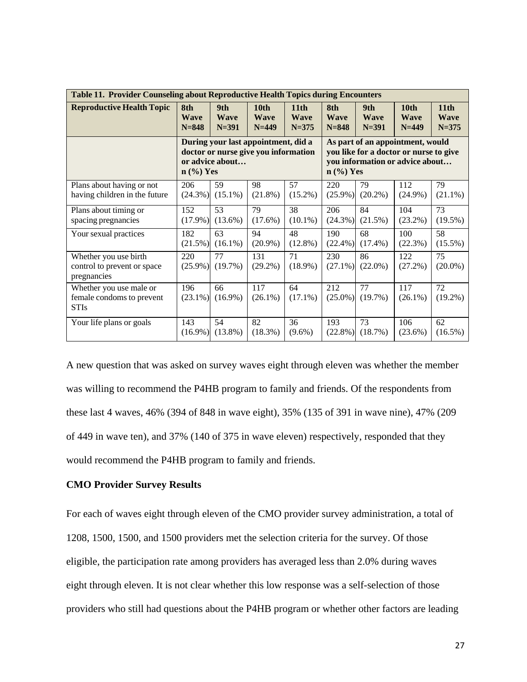| Table 11. Provider Counseling about Reproductive Health Topics during Encounters |                                 |                                                                                                                                 |                                                                             |                                 |                                                                                                                              |                                              |                                              |                               |  |
|----------------------------------------------------------------------------------|---------------------------------|---------------------------------------------------------------------------------------------------------------------------------|-----------------------------------------------------------------------------|---------------------------------|------------------------------------------------------------------------------------------------------------------------------|----------------------------------------------|----------------------------------------------|-------------------------------|--|
| <b>Reproductive Health Topic</b>                                                 | 8th<br><b>Wave</b><br>$N = 848$ | 10 <sub>th</sub><br>9th<br>11 <sub>th</sub><br><b>Wave</b><br><b>Wave</b><br><b>Wave</b><br>$N = 391$<br>$N = 449$<br>$N = 375$ |                                                                             | 8th<br><b>Wave</b><br>$N = 848$ | 9th<br><b>Wave</b><br>$N = 391$                                                                                              | 10 <sub>th</sub><br><b>Wave</b><br>$N = 449$ | 11 <sup>th</sup><br><b>Wave</b><br>$N = 375$ |                               |  |
|                                                                                  | $n$ (%) Yes                     | or advice about                                                                                                                 | During your last appointment, did a<br>doctor or nurse give you information |                                 | As part of an appointment, would<br>you like for a doctor or nurse to give<br>you information or advice about<br>$n$ (%) Yes |                                              |                                              |                               |  |
| Plans about having or not<br>having children in the future                       | 206<br>$(24.3\%)$               | 59<br>$(15.1\%)$                                                                                                                | 98<br>$(21.8\%)$                                                            | 57<br>$(15.2\%)$                | 220<br>$(25.9\%)$                                                                                                            | 79<br>$(20.2\%)$                             | 112<br>$(24.9\%)$                            | 79<br>$(21.1\%)$              |  |
| Plans about timing or<br>spacing pregnancies                                     | 152<br>$(17.9\%)$               | 53<br>$(13.6\%)$                                                                                                                | 79<br>$(17.6\%)$                                                            | 38<br>$(10.1\%)$                | 206<br>(24.3%)                                                                                                               | 84<br>(21.5%)                                | 104<br>$(23.2\%)$                            | 73<br>$(19.5\%)$              |  |
| Your sexual practices                                                            | 182<br>(21.5%)                  | 63<br>$(16.1\%)$                                                                                                                | 94<br>$(20.9\%)$                                                            | 48<br>$(12.8\%)$                | 190<br>$(22.4\%)$                                                                                                            | 68<br>$(17.4\%)$                             | 100<br>(22.3%)                               | 58<br>$(15.5\%)$              |  |
| Whether you use birth<br>control to prevent or space<br>pregnancies              | 220<br>$(25.9\%)$               | 77<br>(19.7%)                                                                                                                   | 131<br>$(29.2\%)$                                                           | 71<br>$(18.9\%)$                | 230<br>$(27.1\%)$                                                                                                            | 86<br>$(22.0\%)$                             | 122<br>$(27.2\%)$                            | 75<br>$(20.0\%)$              |  |
| Whether you use male or<br>female condoms to prevent<br><b>STIs</b>              | 196<br>$(23.1\%)$               | 66<br>$(16.9\%)$                                                                                                                | 117<br>$(26.1\%)$                                                           | 64<br>$(17.1\%)$                | 212<br>$(25.0\%)$                                                                                                            | $\overline{77}$<br>(19.7%)                   | 117<br>$(26.1\%)$                            | $\overline{72}$<br>$(19.2\%)$ |  |
| Your life plans or goals                                                         | 143<br>$(16.9\%)$               | 54<br>$(13.8\%)$                                                                                                                | 82<br>(18.3%)                                                               | 36<br>$(9.6\%)$                 | 193<br>$(22.8\%)$                                                                                                            | 73<br>(18.7%)                                | 106<br>(23.6%)                               | 62<br>$(16.5\%)$              |  |

A new question that was asked on survey waves eight through eleven was whether the member was willing to recommend the P4HB program to family and friends. Of the respondents from these last 4 waves, 46% (394 of 848 in wave eight), 35% (135 of 391 in wave nine), 47% (209 of 449 in wave ten), and 37% (140 of 375 in wave eleven) respectively, responded that they would recommend the P4HB program to family and friends.

## **CMO Provider Survey Results**

For each of waves eight through eleven of the CMO provider survey administration, a total of 1208, 1500, 1500, and 1500 providers met the selection criteria for the survey. Of those eligible, the participation rate among providers has averaged less than 2.0% during waves eight through eleven. It is not clear whether this low response was a self-selection of those providers who still had questions about the P4HB program or whether other factors are leading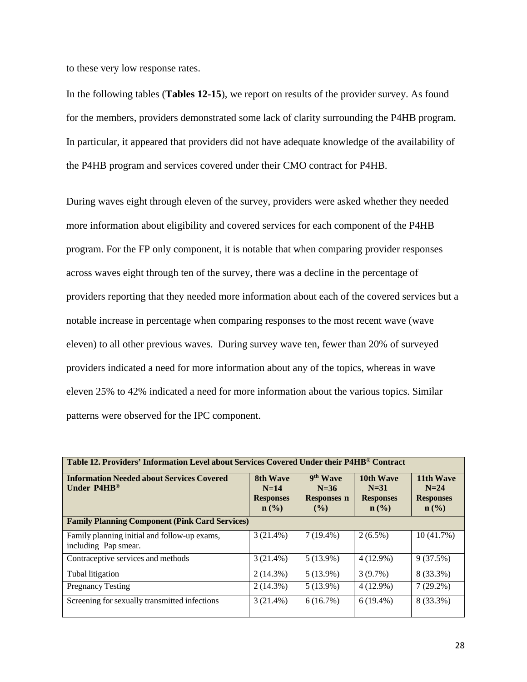to these very low response rates.

In the following tables (**Tables 12-15**), we report on results of the provider survey. As found for the members, providers demonstrated some lack of clarity surrounding the P4HB program. In particular, it appeared that providers did not have adequate knowledge of the availability of the P4HB program and services covered under their CMO contract for P4HB.

During waves eight through eleven of the survey, providers were asked whether they needed more information about eligibility and covered services for each component of the P4HB program. For the FP only component, it is notable that when comparing provider responses across waves eight through ten of the survey, there was a decline in the percentage of providers reporting that they needed more information about each of the covered services but a notable increase in percentage when comparing responses to the most recent wave (wave eleven) to all other previous waves. During survey wave ten, fewer than 20% of surveyed providers indicated a need for more information about any of the topics, whereas in wave eleven 25% to 42% indicated a need for more information about the various topics. Similar patterns were observed for the IPC component.

| Table 12. Providers' Information Level about Services Covered Under their P4HB® Contract |                                                                                                                                                |             |                                                                          |                                                                        |  |  |  |  |  |  |
|------------------------------------------------------------------------------------------|------------------------------------------------------------------------------------------------------------------------------------------------|-------------|--------------------------------------------------------------------------|------------------------------------------------------------------------|--|--|--|--|--|--|
| <b>Information Needed about Services Covered</b><br>Under $P4HB^{\circledcirc}$          | 9 <sup>th</sup> Wave<br><b>8th Wave</b><br>$N=14$<br>$N=36$<br><b>Responses n</b><br><b>Responses</b><br>$n\left(\frac{0}{0}\right)$<br>$($ %) |             | 10th Wave<br>$N = 31$<br><b>Responses</b><br>$n\left(\frac{0}{0}\right)$ | 11th Wave<br>$N=24$<br><b>Responses</b><br>$n\left(\frac{0}{0}\right)$ |  |  |  |  |  |  |
| <b>Family Planning Component (Pink Card Services)</b>                                    |                                                                                                                                                |             |                                                                          |                                                                        |  |  |  |  |  |  |
| Family planning initial and follow-up exams,<br>including Pap smear.                     | $3(21.4\%)$                                                                                                                                    | $7(19.4\%)$ | $2(6.5\%)$                                                               | 10(41.7%)                                                              |  |  |  |  |  |  |
| Contraceptive services and methods                                                       | $3(21.4\%)$                                                                                                                                    | $5(13.9\%)$ | $4(12.9\%)$                                                              | 9(37.5%)                                                               |  |  |  |  |  |  |
| Tubal litigation                                                                         | $2(14.3\%)$                                                                                                                                    | $5(13.9\%)$ | $3(9.7\%)$                                                               | 8 (33.3%)                                                              |  |  |  |  |  |  |
| <b>Pregnancy Testing</b>                                                                 | $2(14.3\%)$                                                                                                                                    | $5(13.9\%)$ | $4(12.9\%)$                                                              | $7(29.2\%)$                                                            |  |  |  |  |  |  |
| Screening for sexually transmitted infections                                            | $3(21.4\%)$                                                                                                                                    | 6(16.7%)    | $6(19.4\%)$                                                              | 8 (33.3%)                                                              |  |  |  |  |  |  |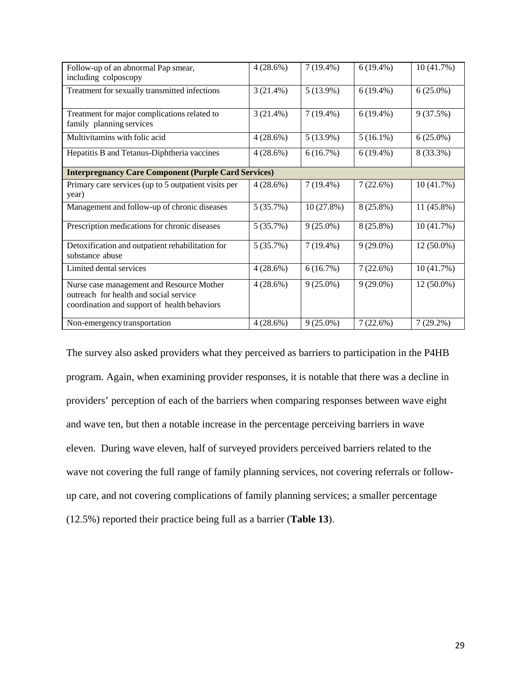| Follow-up of an abnormal Pap smear,<br>including colposcopy                                                                         | $4(28.6\%)$ | $7(19.4\%)$ | $6(19.4\%)$ | 10 (41.7%)  |
|-------------------------------------------------------------------------------------------------------------------------------------|-------------|-------------|-------------|-------------|
| Treatment for sexually transmitted infections                                                                                       | $3(21.4\%)$ | $5(13.9\%)$ | $6(19.4\%)$ | $6(25.0\%)$ |
| Treatment for major complications related to<br>family planning services                                                            | 3(21.4%)    | $7(19.4\%)$ | $6(19.4\%)$ | 9(37.5%)    |
| Multivitamins with folic acid                                                                                                       | $4(28.6\%)$ | $5(13.9\%)$ | $5(16.1\%)$ | $6(25.0\%)$ |
| Hepatitis B and Tetanus-Diphtheria vaccines                                                                                         | 4(28.6%)    | 6(16.7%)    | $6(19.4\%)$ | 8 (33.3%)   |
| <b>Interpregnancy Care Component (Purple Card Services)</b>                                                                         |             |             |             |             |
| Primary care services (up to 5 outpatient visits per<br>year)                                                                       | 4(28.6%)    | $7(19.4\%)$ | 7(22.6%)    | 10(41.7%)   |
| Management and follow-up of chronic diseases                                                                                        | 5(35.7%)    | 10(27.8%)   | 8 (25.8%)   | 11 (45.8%)  |
| Prescription medications for chronic diseases                                                                                       | 5(35.7%)    | $9(25.0\%)$ | 8 (25.8%)   | 10 (41.7%)  |
| Detoxification and outpatient rehabilitation for<br>substance abuse                                                                 | 5(35.7%)    | $7(19.4\%)$ | $9(29.0\%)$ | 12 (50.0%)  |
| Limited dental services                                                                                                             | $4(28.6\%)$ | 6(16.7%)    | 7(22.6%)    | 10 (41.7%)  |
| Nurse case management and Resource Mother<br>outreach for health and social service<br>coordination and support of health behaviors | $4(28.6\%)$ | $9(25.0\%)$ | $9(29.0\%)$ | 12 (50.0%)  |
| Non-emergency transportation                                                                                                        | $4(28.6\%)$ | $9(25.0\%)$ | 7(22.6%)    | $7(29.2\%)$ |

The survey also asked providers what they perceived as barriers to participation in the P4HB program. Again, when examining provider responses, it is notable that there was a decline in providers' perception of each of the barriers when comparing responses between wave eight and wave ten, but then a notable increase in the percentage perceiving barriers in wave eleven. During wave eleven, half of surveyed providers perceived barriers related to the wave not covering the full range of family planning services, not covering referrals or followup care, and not covering complications of family planning services; a smaller percentage (12.5%) reported their practice being full as a barrier (**Table 13**).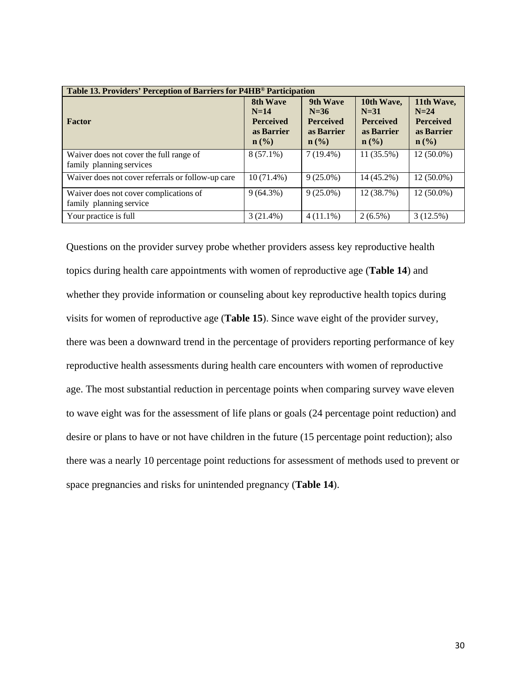| Table 13. Providers' Perception of Barriers for P4HB® Participation |                                                                          |                                                                          |                                                                                       |                                                                            |  |  |  |  |  |
|---------------------------------------------------------------------|--------------------------------------------------------------------------|--------------------------------------------------------------------------|---------------------------------------------------------------------------------------|----------------------------------------------------------------------------|--|--|--|--|--|
| Factor                                                              | 8th Wave<br>$N=14$<br><b>Perceived</b><br>as Barrier<br>$\mathbf{n}(\%)$ | 9th Wave<br>$N=36$<br><b>Perceived</b><br>as Barrier<br>$\mathbf{n}(\%)$ | 10th Wave,<br>$N=31$<br><b>Perceived</b><br>as Barrier<br>$n\left(\frac{0}{0}\right)$ | 11th Wave,<br>$N=24$<br><b>Perceived</b><br>as Barrier<br>$\mathbf{n}(\%)$ |  |  |  |  |  |
| Waiver does not cover the full range of<br>family planning services | $8(57.1\%)$                                                              | $7(19.4\%)$                                                              | $11(35.5\%)$                                                                          | $12(50.0\%)$                                                               |  |  |  |  |  |
| Waiver does not cover referrals or follow-up care                   | $10(71.4\%)$                                                             | $9(25.0\%)$                                                              | 14 (45.2%)                                                                            | 12 (50.0%)                                                                 |  |  |  |  |  |
| Waiver does not cover complications of<br>family planning service   | $9(64.3\%)$                                                              | $9(25.0\%)$                                                              | 12 (38.7%)                                                                            | 12 (50.0%)                                                                 |  |  |  |  |  |
| Your practice is full                                               | $3(21.4\%)$                                                              | $4(11.1\%)$                                                              | $2(6.5\%)$                                                                            | 3(12.5%)                                                                   |  |  |  |  |  |

Questions on the provider survey probe whether providers assess key reproductive health topics during health care appointments with women of reproductive age (**Table 14**) and whether they provide information or counseling about key reproductive health topics during visits for women of reproductive age (**Table 15**). Since wave eight of the provider survey, there was been a downward trend in the percentage of providers reporting performance of key reproductive health assessments during health care encounters with women of reproductive age. The most substantial reduction in percentage points when comparing survey wave eleven to wave eight was for the assessment of life plans or goals (24 percentage point reduction) and desire or plans to have or not have children in the future (15 percentage point reduction); also there was a nearly 10 percentage point reductions for assessment of methods used to prevent or space pregnancies and risks for unintended pregnancy (**Table 14**).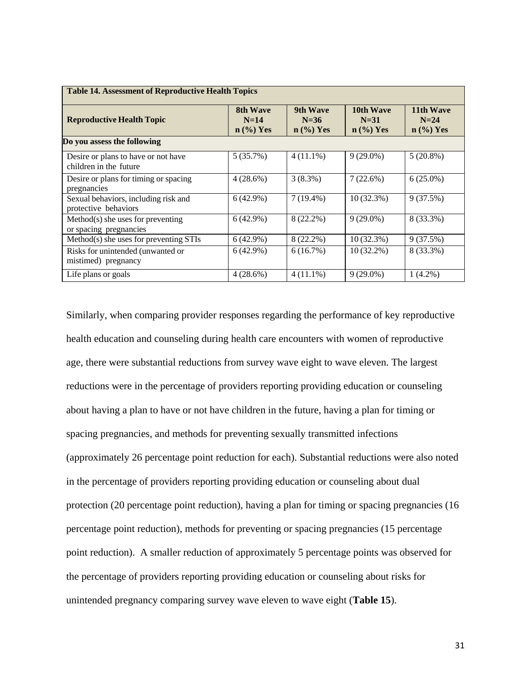| <b>Table 14. Assessment of Reproductive Health Topics</b>     |                                                               |                                      |              |                                                         |  |  |  |  |  |  |
|---------------------------------------------------------------|---------------------------------------------------------------|--------------------------------------|--------------|---------------------------------------------------------|--|--|--|--|--|--|
| <b>Reproductive Health Topic</b>                              | <b>8th Wave</b><br>$N=14$<br>$n \left(\frac{9}{6}\right)$ Yes | 9th Wave<br>$N=36$<br>$n \ (\%)$ Yes |              | 11th Wave<br>$N=24$<br>$n \left(\frac{9}{6}\right)$ Yes |  |  |  |  |  |  |
| Do you assess the following                                   |                                                               |                                      |              |                                                         |  |  |  |  |  |  |
| Desire or plans to have or not have<br>children in the future | 5(35.7%)                                                      | $4(11.1\%)$                          | $9(29.0\%)$  | $5(20.8\%)$                                             |  |  |  |  |  |  |
| Desire or plans for timing or spacing<br>pregnancies          | $4(28.6\%)$                                                   | $3(8.3\%)$                           | 7(22.6%)     | $6(25.0\%)$                                             |  |  |  |  |  |  |
| Sexual behaviors, including risk and<br>protective behaviors  | $6(42.9\%)$                                                   | $7(19.4\%)$                          | $10(32.3\%)$ | 9(37.5%)                                                |  |  |  |  |  |  |
| $Method(s)$ she uses for preventing<br>or spacing pregnancies | $6(42.9\%)$                                                   | 8 (22.2%)                            | $9(29.0\%)$  | 8 (33.3%)                                               |  |  |  |  |  |  |
| Method(s) she uses for preventing STIs                        | 6(42.9%)                                                      | $8(22.2\%)$                          | 10(32.3%)    | 9(37.5%)                                                |  |  |  |  |  |  |
| Risks for unintended (unwanted or<br>mistimed) pregnancy      | 6(42.9%)                                                      | 6(16.7%)                             | $10(32.2\%)$ | 8 (33.3%)                                               |  |  |  |  |  |  |
| Life plans or goals                                           | 4(28.6%)                                                      | $4(11.1\%)$                          | $9(29.0\%)$  | $1(4.2\%)$                                              |  |  |  |  |  |  |

Similarly, when comparing provider responses regarding the performance of key reproductive health education and counseling during health care encounters with women of reproductive age, there were substantial reductions from survey wave eight to wave eleven. The largest reductions were in the percentage of providers reporting providing education or counseling about having a plan to have or not have children in the future, having a plan for timing or spacing pregnancies, and methods for preventing sexually transmitted infections (approximately 26 percentage point reduction for each). Substantial reductions were also noted in the percentage of providers reporting providing education or counseling about dual protection (20 percentage point reduction), having a plan for timing or spacing pregnancies (16 percentage point reduction), methods for preventing or spacing pregnancies (15 percentage point reduction). A smaller reduction of approximately 5 percentage points was observed for the percentage of providers reporting providing education or counseling about risks for unintended pregnancy comparing survey wave eleven to wave eight (**Table 15**).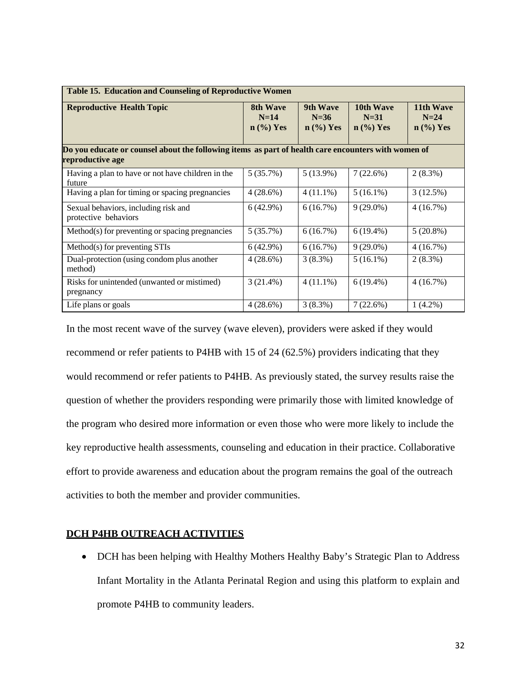| Table 15. Education and Counseling of Reproductive Women                                                                |                                   |                                                               |                                                         |                                                         |  |  |  |  |  |
|-------------------------------------------------------------------------------------------------------------------------|-----------------------------------|---------------------------------------------------------------|---------------------------------------------------------|---------------------------------------------------------|--|--|--|--|--|
| <b>Reproductive Health Topic</b>                                                                                        | 8th Wave<br>$N=14$<br>$n$ (%) Yes | <b>9th Wave</b><br>$N=36$<br>$n \left(\frac{9}{6}\right)$ Yes | 10th Wave<br>$N=31$<br>$n \left(\frac{9}{6}\right)$ Yes | 11th Wave<br>$N=24$<br>$n \left(\frac{9}{6}\right)$ Yes |  |  |  |  |  |
| Do you educate or counsel about the following items as part of health care encounters with women of<br>reproductive age |                                   |                                                               |                                                         |                                                         |  |  |  |  |  |
| Having a plan to have or not have children in the<br>future                                                             | 5(35.7%)                          | $5(13.9\%)$                                                   | 7(22.6%)                                                | $2(8.3\%)$                                              |  |  |  |  |  |
| Having a plan for timing or spacing pregnancies                                                                         | $4(28.6\%)$                       | $4(11.1\%)$                                                   | $5(16.1\%)$                                             | 3(12.5%)                                                |  |  |  |  |  |
| Sexual behaviors, including risk and<br>protective behaviors                                                            | 6(42.9%)                          | 6(16.7%)                                                      | $9(29.0\%)$                                             | 4(16.7%)                                                |  |  |  |  |  |
| Method(s) for preventing or spacing pregnancies                                                                         | 5(35.7%)                          | 6(16.7%)                                                      | $6(19.4\%)$                                             | $5(20.8\%)$                                             |  |  |  |  |  |
| Method(s) for preventing STIs                                                                                           | 6(42.9%)                          | 6(16.7%)                                                      | $9(29.0\%)$                                             | 4(16.7%)                                                |  |  |  |  |  |
| Dual-protection (using condom plus another<br>method)                                                                   | 4(28.6%)                          | $3(8.3\%)$                                                    | $5(16.1\%)$                                             | $2(8.3\%)$                                              |  |  |  |  |  |
| Risks for unintended (unwanted or mistimed)<br>pregnancy                                                                | $3(21.4\%)$                       | $4(11.1\%)$                                                   | $6(19.4\%)$                                             | 4(16.7%)                                                |  |  |  |  |  |
| Life plans or goals                                                                                                     | 4(28.6%)                          | $3(8.3\%)$                                                    | $7(22.6\%)$                                             | $1(4.2\%)$                                              |  |  |  |  |  |

In the most recent wave of the survey (wave eleven), providers were asked if they would recommend or refer patients to P4HB with 15 of 24 (62.5%) providers indicating that they would recommend or refer patients to P4HB. As previously stated, the survey results raise the question of whether the providers responding were primarily those with limited knowledge of the program who desired more information or even those who were more likely to include the key reproductive health assessments, counseling and education in their practice. Collaborative effort to provide awareness and education about the program remains the goal of the outreach activities to both the member and provider communities.

## **DCH P4HB OUTREACH ACTIVITIES**

• DCH has been helping with Healthy Mothers Healthy Baby's Strategic Plan to Address Infant Mortality in the Atlanta Perinatal Region and using this platform to explain and promote P4HB to community leaders.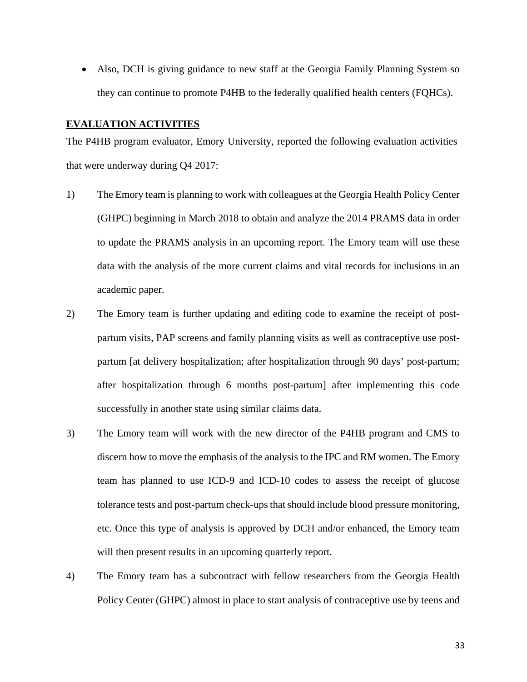• Also, DCH is giving guidance to new staff at the Georgia Family Planning System so they can continue to promote P4HB to the federally qualified health centers (FQHCs).

### **EVALUATION ACTIVITIES**

The P4HB program evaluator, Emory University, reported the following evaluation activities that were underway during Q4 2017:

- 1) The Emory team is planning to work with colleagues at the Georgia Health Policy Center (GHPC) beginning in March 2018 to obtain and analyze the 2014 PRAMS data in order to update the PRAMS analysis in an upcoming report. The Emory team will use these data with the analysis of the more current claims and vital records for inclusions in an academic paper.
- 2) The Emory team is further updating and editing code to examine the receipt of postpartum visits, PAP screens and family planning visits as well as contraceptive use postpartum [at delivery hospitalization; after hospitalization through 90 days' post-partum; after hospitalization through 6 months post-partum] after implementing this code successfully in another state using similar claims data.
- 3) The Emory team will work with the new director of the P4HB program and CMS to discern how to move the emphasis of the analysis to the IPC and RM women. The Emory team has planned to use ICD-9 and ICD-10 codes to assess the receipt of glucose tolerance tests and post-partum check-ups that should include blood pressure monitoring, etc. Once this type of analysis is approved by DCH and/or enhanced, the Emory team will then present results in an upcoming quarterly report.
- 4) The Emory team has a subcontract with fellow researchers from the Georgia Health Policy Center (GHPC) almost in place to start analysis of contraceptive use by teens and

33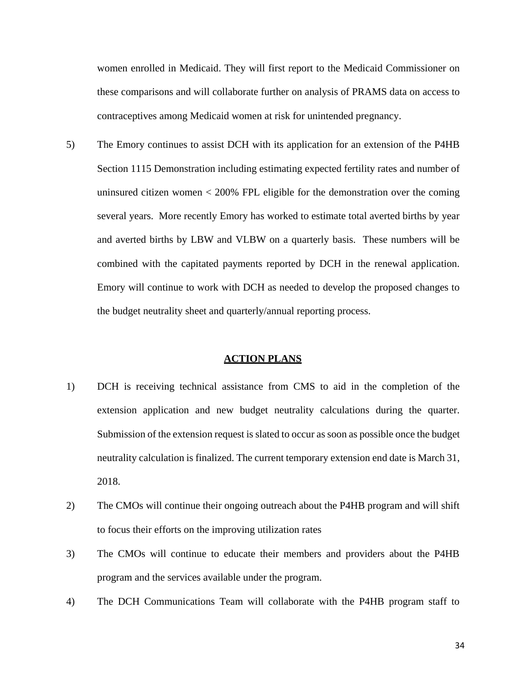women enrolled in Medicaid. They will first report to the Medicaid Commissioner on these comparisons and will collaborate further on analysis of PRAMS data on access to contraceptives among Medicaid women at risk for unintended pregnancy.

5) The Emory continues to assist DCH with its application for an extension of the P4HB Section 1115 Demonstration including estimating expected fertility rates and number of uninsured citizen women  $<$  200% FPL eligible for the demonstration over the coming several years. More recently Emory has worked to estimate total averted births by year and averted births by LBW and VLBW on a quarterly basis. These numbers will be combined with the capitated payments reported by DCH in the renewal application. Emory will continue to work with DCH as needed to develop the proposed changes to the budget neutrality sheet and quarterly/annual reporting process.

#### **ACTION PLANS**

- 1) DCH is receiving technical assistance from CMS to aid in the completion of the extension application and new budget neutrality calculations during the quarter. Submission of the extension request is slated to occur as soon as possible once the budget neutrality calculation is finalized. The current temporary extension end date is March 31, 2018.
- 2) The CMOs will continue their ongoing outreach about the P4HB program and will shift to focus their efforts on the improving utilization rates
- 3) The CMOs will continue to educate their members and providers about the P4HB program and the services available under the program.
- 4) The DCH Communications Team will collaborate with the P4HB program staff to

34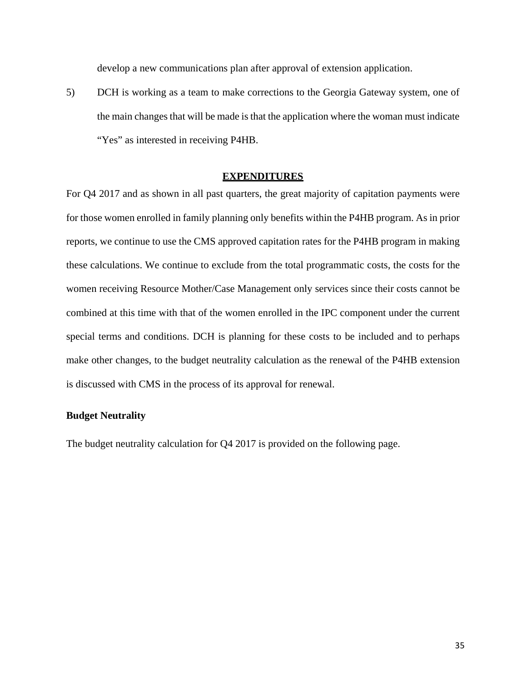develop a new communications plan after approval of extension application.

5) DCH is working as a team to make corrections to the Georgia Gateway system, one of the main changes that will be made is that the application where the woman must indicate "Yes" as interested in receiving P4HB.

## **EXPENDITURES**

For Q4 2017 and as shown in all past quarters, the great majority of capitation payments were for those women enrolled in family planning only benefits within the P4HB program. As in prior reports, we continue to use the CMS approved capitation rates for the P4HB program in making these calculations. We continue to exclude from the total programmatic costs, the costs for the women receiving Resource Mother/Case Management only services since their costs cannot be combined at this time with that of the women enrolled in the IPC component under the current special terms and conditions. DCH is planning for these costs to be included and to perhaps make other changes, to the budget neutrality calculation as the renewal of the P4HB extension is discussed with CMS in the process of its approval for renewal.

# **Budget Neutrality**

The budget neutrality calculation for Q4 2017 is provided on the following page.